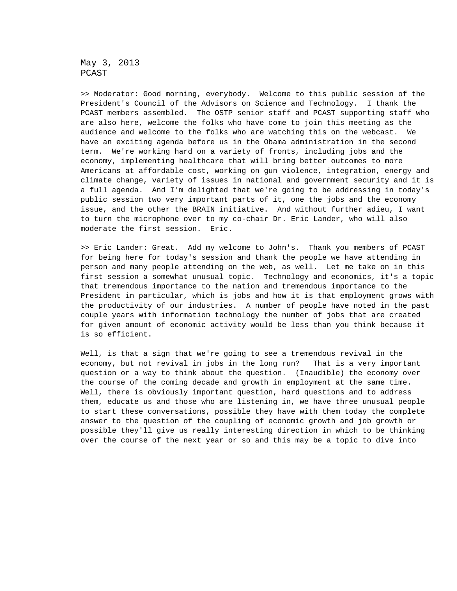May 3, 2013 PCAST

>> Moderator: Good morning, everybody. Welcome to this public session of the President's Council of the Advisors on Science and Technology. I thank the PCAST members assembled. The OSTP senior staff and PCAST supporting staff who are also here, welcome the folks who have come to join this meeting as the audience and welcome to the folks who are watching this on the webcast. We have an exciting agenda before us in the Obama administration in the second term. We're working hard on a variety of fronts, including jobs and the economy, implementing healthcare that will bring better outcomes to more Americans at affordable cost, working on gun violence, integration, energy and climate change, variety of issues in national and government security and it is a full agenda. And I'm delighted that we're going to be addressing in today's public session two very important parts of it, one the jobs and the economy issue, and the other the BRAIN initiative. And without further adieu, I want to turn the microphone over to my co-chair Dr. Eric Lander, who will also moderate the first session. Eric.

>> Eric Lander: Great. Add my welcome to John's. Thank you members of PCAST for being here for today's session and thank the people we have attending in person and many people attending on the web, as well. Let me take on in this first session a somewhat unusual topic. Technology and economics, it's a topic that tremendous importance to the nation and tremendous importance to the President in particular, which is jobs and how it is that employment grows with the productivity of our industries. A number of people have noted in the past couple years with information technology the number of jobs that are created for given amount of economic activity would be less than you think because it is so efficient.

Well, is that a sign that we're going to see a tremendous revival in the economy, but not revival in jobs in the long run? That is a very important question or a way to think about the question. (Inaudible) the economy over the course of the coming decade and growth in employment at the same time. Well, there is obviously important question, hard questions and to address them, educate us and those who are listening in, we have three unusual people to start these conversations, possible they have with them today the complete answer to the question of the coupling of economic growth and job growth or possible they'll give us really interesting direction in which to be thinking over the course of the next year or so and this may be a topic to dive into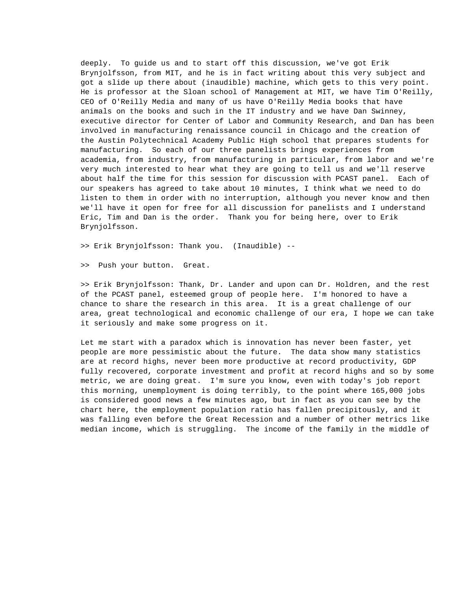deeply. To guide us and to start off this discussion, we've got Erik Brynjolfsson, from MIT, and he is in fact writing about this very subject and got a slide up there about (inaudible) machine, which gets to this very point. He is professor at the Sloan school of Management at MIT, we have Tim O'Reilly, CEO of O'Reilly Media and many of us have O'Reilly Media books that have animals on the books and such in the IT industry and we have Dan Swinney, executive director for Center of Labor and Community Research, and Dan has been involved in manufacturing renaissance council in Chicago and the creation of the Austin Polytechnical Academy Public High school that prepares students for manufacturing. So each of our three panelists brings experiences from academia, from industry, from manufacturing in particular, from labor and we're very much interested to hear what they are going to tell us and we'll reserve about half the time for this session for discussion with PCAST panel. Each of our speakers has agreed to take about 10 minutes, I think what we need to do listen to them in order with no interruption, although you never know and then we'll have it open for free for all discussion for panelists and I understand Eric, Tim and Dan is the order. Thank you for being here, over to Erik Brynjolfsson.

>> Erik Brynjolfsson: Thank you. (Inaudible) --

>> Push your button. Great.

>> Erik Brynjolfsson: Thank, Dr. Lander and upon can Dr. Holdren, and the rest of the PCAST panel, esteemed group of people here. I'm honored to have a chance to share the research in this area. It is a great challenge of our area, great technological and economic challenge of our era, I hope we can take it seriously and make some progress on it.

Let me start with a paradox which is innovation has never been faster, yet people are more pessimistic about the future. The data show many statistics are at record highs, never been more productive at record productivity, GDP fully recovered, corporate investment and profit at record highs and so by some metric, we are doing great. I'm sure you know, even with today's job report this morning, unemployment is doing terribly, to the point where 165,000 jobs is considered good news a few minutes ago, but in fact as you can see by the chart here, the employment population ratio has fallen precipitously, and it was falling even before the Great Recession and a number of other metrics like median income, which is struggling. The income of the family in the middle of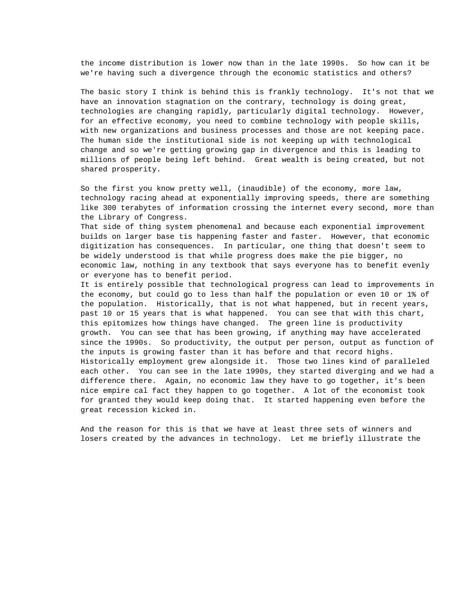the income distribution is lower now than in the late 1990s. So how can it be we're having such a divergence through the economic statistics and others?

The basic story I think is behind this is frankly technology. It's not that we have an innovation stagnation on the contrary, technology is doing great, technologies are changing rapidly, particularly digital technology. However, for an effective economy, you need to combine technology with people skills, with new organizations and business processes and those are not keeping pace. The human side the institutional side is not keeping up with technological change and so we're getting growing gap in divergence and this is leading to millions of people being left behind. Great wealth is being created, but not shared prosperity.

So the first you know pretty well, (inaudible) of the economy, more law, technology racing ahead at exponentially improving speeds, there are something like 300 terabytes of information crossing the internet every second, more than the Library of Congress.

That side of thing system phenomenal and because each exponential improvement builds on larger base tis happening faster and faster. However, that economic digitization has consequences. In particular, one thing that doesn't seem to be widely understood is that while progress does make the pie bigger, no economic law, nothing in any textbook that says everyone has to benefit evenly or everyone has to benefit period.

It is entirely possible that technological progress can lead to improvements in the economy, but could go to less than half the population or even 10 or 1% of the population. Historically, that is not what happened, but in recent years, past 10 or 15 years that is what happened. You can see that with this chart, this epitomizes how things have changed. The green line is productivity growth. You can see that has been growing, if anything may have accelerated since the 1990s. So productivity, the output per person, output as function of the inputs is growing faster than it has before and that record highs. Historically employment grew alongside it. Those two lines kind of paralleled each other. You can see in the late 1990s, they started diverging and we had a difference there. Again, no economic law they have to go together, it's been nice empire cal fact they happen to go together. A lot of the economist took for granted they would keep doing that. It started happening even before the great recession kicked in.

And the reason for this is that we have at least three sets of winners and losers created by the advances in technology. Let me briefly illustrate the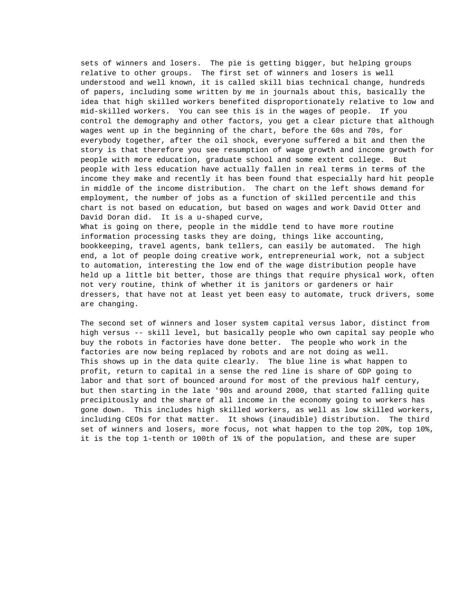sets of winners and losers. The pie is getting bigger, but helping groups relative to other groups. The first set of winners and losers is well understood and well known, it is called skill bias technical change, hundreds of papers, including some written by me in journals about this, basically the idea that high skilled workers benefited disproportionately relative to low and mid-skilled workers. You can see this is in the wages of people. If you control the demography and other factors, you get a clear picture that although wages went up in the beginning of the chart, before the 60s and 70s, for everybody together, after the oil shock, everyone suffered a bit and then the story is that therefore you see resumption of wage growth and income growth for people with more education, graduate school and some extent college. But people with less education have actually fallen in real terms in terms of the income they make and recently it has been found that especially hard hit people in middle of the income distribution. The chart on the left shows demand for employment, the number of jobs as a function of skilled percentile and this chart is not based on education, but based on wages and work David Otter and David Doran did. It is a u-shaped curve,

What is going on there, people in the middle tend to have more routine information processing tasks they are doing, things like accounting, bookkeeping, travel agents, bank tellers, can easily be automated. The high end, a lot of people doing creative work, entrepreneurial work, not a subject to automation, interesting the low end of the wage distribution people have held up a little bit better, those are things that require physical work, often not very routine, think of whether it is janitors or gardeners or hair dressers, that have not at least yet been easy to automate, truck drivers, some are changing.

The second set of winners and loser system capital versus labor, distinct from high versus -- skill level, but basically people who own capital say people who buy the robots in factories have done better. The people who work in the factories are now being replaced by robots and are not doing as well. This shows up in the data quite clearly. The blue line is what happen to profit, return to capital in a sense the red line is share of GDP going to labor and that sort of bounced around for most of the previous half century, but then starting in the late '90s and around 2000, that started falling quite precipitously and the share of all income in the economy going to workers has gone down. This includes high skilled workers, as well as low skilled workers, including CEOs for that matter. It shows (inaudible) distribution. The third set of winners and losers, more focus, not what happen to the top 20%, top 10%, it is the top 1-tenth or 100th of 1% of the population, and these are super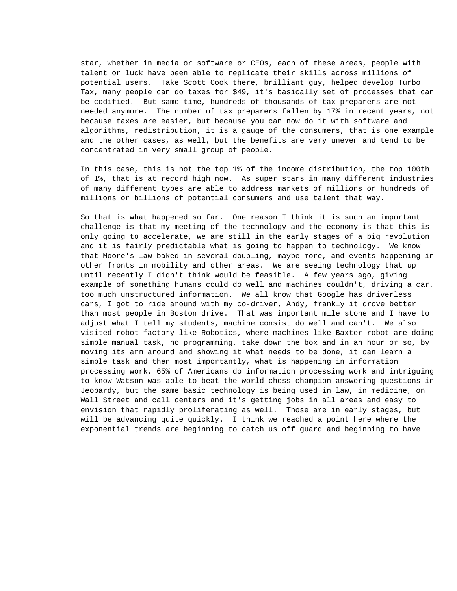star, whether in media or software or CEOs, each of these areas, people with talent or luck have been able to replicate their skills across millions of potential users. Take Scott Cook there, brilliant guy, helped develop Turbo Tax, many people can do taxes for \$49, it's basically set of processes that can be codified. But same time, hundreds of thousands of tax preparers are not needed anymore. The number of tax preparers fallen by 17% in recent years, not because taxes are easier, but because you can now do it with software and algorithms, redistribution, it is a gauge of the consumers, that is one example and the other cases, as well, but the benefits are very uneven and tend to be concentrated in very small group of people.

In this case, this is not the top 1% of the income distribution, the top 100th of 1%, that is at record high now. As super stars in many different industries of many different types are able to address markets of millions or hundreds of millions or billions of potential consumers and use talent that way.

So that is what happened so far. One reason I think it is such an important challenge is that my meeting of the technology and the economy is that this is only going to accelerate, we are still in the early stages of a big revolution and it is fairly predictable what is going to happen to technology. We know that Moore's law baked in several doubling, maybe more, and events happening in other fronts in mobility and other areas. We are seeing technology that up until recently I didn't think would be feasible. A few years ago, giving example of something humans could do well and machines couldn't, driving a car, too much unstructured information. We all know that Google has driverless cars, I got to ride around with my co-driver, Andy, frankly it drove better than most people in Boston drive. That was important mile stone and I have to adjust what I tell my students, machine consist do well and can't. We also visited robot factory like Robotics, where machines like Baxter robot are doing simple manual task, no programming, take down the box and in an hour or so, by moving its arm around and showing it what needs to be done, it can learn a simple task and then most importantly, what is happening in information processing work, 65% of Americans do information processing work and intriguing to know Watson was able to beat the world chess champion answering questions in Jeopardy, but the same basic technology is being used in law, in medicine, on Wall Street and call centers and it's getting jobs in all areas and easy to envision that rapidly proliferating as well. Those are in early stages, but will be advancing quite quickly. I think we reached a point here where the exponential trends are beginning to catch us off guard and beginning to have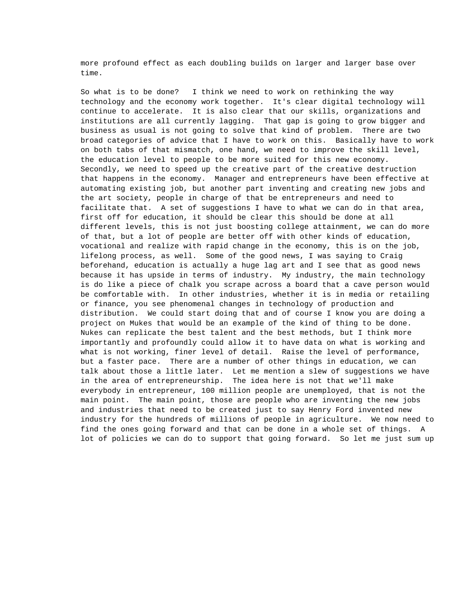more profound effect as each doubling builds on larger and larger base over time.

So what is to be done? I think we need to work on rethinking the way technology and the economy work together. It's clear digital technology will continue to accelerate. It is also clear that our skills, organizations and institutions are all currently lagging. That gap is going to grow bigger and business as usual is not going to solve that kind of problem. There are two broad categories of advice that I have to work on this. Basically have to work on both tabs of that mismatch, one hand, we need to improve the skill level, the education level to people to be more suited for this new economy. Secondly, we need to speed up the creative part of the creative destruction that happens in the economy. Manager and entrepreneurs have been effective at automating existing job, but another part inventing and creating new jobs and the art society, people in charge of that be entrepreneurs and need to facilitate that. A set of suggestions I have to what we can do in that area, first off for education, it should be clear this should be done at all different levels, this is not just boosting college attainment, we can do more of that, but a lot of people are better off with other kinds of education, vocational and realize with rapid change in the economy, this is on the job, lifelong process, as well. Some of the good news, I was saying to Craig beforehand, education is actually a huge lag art and I see that as good news because it has upside in terms of industry. My industry, the main technology is do like a piece of chalk you scrape across a board that a cave person would be comfortable with. In other industries, whether it is in media or retailing or finance, you see phenomenal changes in technology of production and distribution. We could start doing that and of course I know you are doing a project on Mukes that would be an example of the kind of thing to be done. Nukes can replicate the best talent and the best methods, but I think more importantly and profoundly could allow it to have data on what is working and what is not working, finer level of detail. Raise the level of performance, but a faster pace. There are a number of other things in education, we can talk about those a little later. Let me mention a slew of suggestions we have in the area of entrepreneurship. The idea here is not that we'll make everybody in entrepreneur, 100 million people are unemployed, that is not the main point. The main point, those are people who are inventing the new jobs and industries that need to be created just to say Henry Ford invented new industry for the hundreds of millions of people in agriculture. We now need to find the ones going forward and that can be done in a whole set of things. A lot of policies we can do to support that going forward. So let me just sum up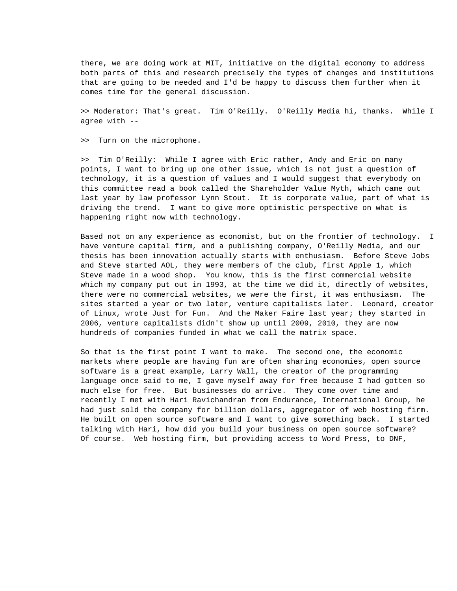there, we are doing work at MIT, initiative on the digital economy to address both parts of this and research precisely the types of changes and institutions that are going to be needed and I'd be happy to discuss them further when it comes time for the general discussion.

>> Moderator: That's great. Tim O'Reilly. O'Reilly Media hi, thanks. While I agree with --

>> Turn on the microphone.

>> Tim O'Reilly: While I agree with Eric rather, Andy and Eric on many points, I want to bring up one other issue, which is not just a question of technology, it is a question of values and I would suggest that everybody on this committee read a book called the Shareholder Value Myth, which came out last year by law professor Lynn Stout. It is corporate value, part of what is driving the trend. I want to give more optimistic perspective on what is happening right now with technology.

Based not on any experience as economist, but on the frontier of technology. I have venture capital firm, and a publishing company, O'Reilly Media, and our thesis has been innovation actually starts with enthusiasm. Before Steve Jobs and Steve started AOL, they were members of the club, first Apple 1, which Steve made in a wood shop. You know, this is the first commercial website which my company put out in 1993, at the time we did it, directly of websites, there were no commercial websites, we were the first, it was enthusiasm. The sites started a year or two later, venture capitalists later. Leonard, creator of Linux, wrote Just for Fun. And the Maker Faire last year; they started in 2006, venture capitalists didn't show up until 2009, 2010, they are now hundreds of companies funded in what we call the matrix space.

So that is the first point I want to make. The second one, the economic markets where people are having fun are often sharing economies, open source software is a great example, Larry Wall, the creator of the programming language once said to me, I gave myself away for free because I had gotten so much else for free. But businesses do arrive. They come over time and recently I met with Hari Ravichandran from Endurance, International Group, he had just sold the company for billion dollars, aggregator of web hosting firm. He built on open source software and I want to give something back. I started talking with Hari, how did you build your business on open source software? Of course. Web hosting firm, but providing access to Word Press, to DNF,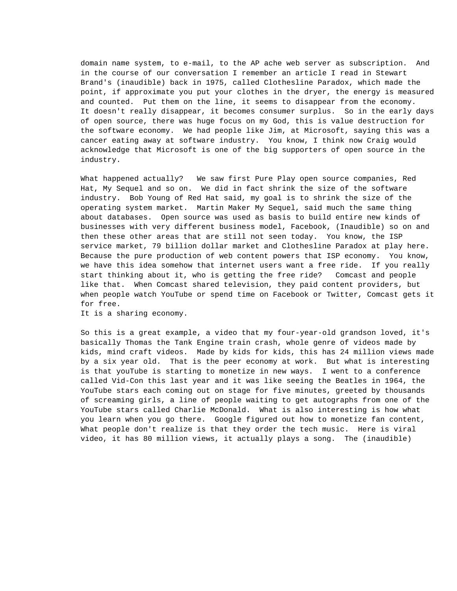domain name system, to e-mail, to the AP ache web server as subscription. And in the course of our conversation I remember an article I read in Stewart Brand's (inaudible) back in 1975, called Clothesline Paradox, which made the point, if approximate you put your clothes in the dryer, the energy is measured and counted. Put them on the line, it seems to disappear from the economy. It doesn't really disappear, it becomes consumer surplus. So in the early days of open source, there was huge focus on my God, this is value destruction for the software economy. We had people like Jim, at Microsoft, saying this was a cancer eating away at software industry. You know, I think now Craig would acknowledge that Microsoft is one of the big supporters of open source in the industry.

What happened actually? We saw first Pure Play open source companies, Red Hat, My Sequel and so on. We did in fact shrink the size of the software industry. Bob Young of Red Hat said, my goal is to shrink the size of the operating system market. Martin Maker My Sequel, said much the same thing about databases. Open source was used as basis to build entire new kinds of businesses with very different business model, Facebook, (Inaudible) so on and then these other areas that are still not seen today. You know, the ISP service market, 79 billion dollar market and Clothesline Paradox at play here. Because the pure production of web content powers that ISP economy. You know, we have this idea somehow that internet users want a free ride. If you really start thinking about it, who is getting the free ride? Comcast and people like that. When Comcast shared television, they paid content providers, but when people watch YouTube or spend time on Facebook or Twitter, Comcast gets it for free.

It is a sharing economy.

So this is a great example, a video that my four-year-old grandson loved, it's basically Thomas the Tank Engine train crash, whole genre of videos made by kids, mind craft videos. Made by kids for kids, this has 24 million views made by a six year old. That is the peer economy at work. But what is interesting is that youTube is starting to monetize in new ways. I went to a conference called Vid-Con this last year and it was like seeing the Beatles in 1964, the YouTube stars each coming out on stage for five minutes, greeted by thousands of screaming girls, a line of people waiting to get autographs from one of the YouTube stars called Charlie McDonald. What is also interesting is how what you learn when you go there. Google figured out how to monetize fan content, What people don't realize is that they order the tech music. Here is viral video, it has 80 million views, it actually plays a song. The (inaudible)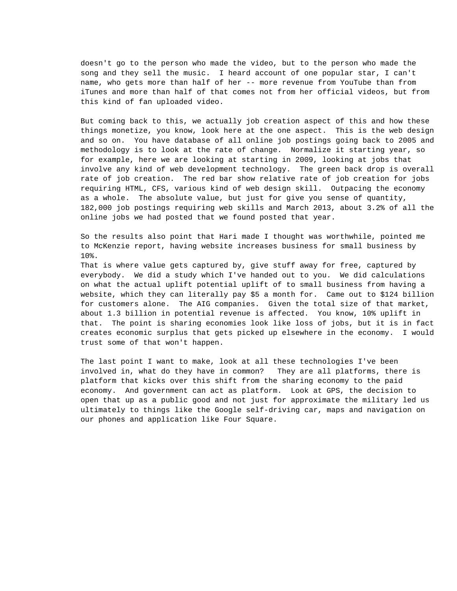doesn't go to the person who made the video, but to the person who made the song and they sell the music. I heard account of one popular star, I can't name, who gets more than half of her -- more revenue from YouTube than from iTunes and more than half of that comes not from her official videos, but from this kind of fan uploaded video.

But coming back to this, we actually job creation aspect of this and how these things monetize, you know, look here at the one aspect. This is the web design and so on. You have database of all online job postings going back to 2005 and methodology is to look at the rate of change. Normalize it starting year, so for example, here we are looking at starting in 2009, looking at jobs that involve any kind of web development technology. The green back drop is overall rate of job creation. The red bar show relative rate of job creation for jobs requiring HTML, CFS, various kind of web design skill. Outpacing the economy as a whole. The absolute value, but just for give you sense of quantity, 182,000 job postings requiring web skills and March 2013, about 3.2% of all the online jobs we had posted that we found posted that year.

So the results also point that Hari made I thought was worthwhile, pointed me to McKenzie report, having website increases business for small business by 10%.

That is where value gets captured by, give stuff away for free, captured by everybody. We did a study which I've handed out to you. We did calculations on what the actual uplift potential uplift of to small business from having a website, which they can literally pay \$5 a month for. Came out to \$124 billion for customers alone. The AIG companies. Given the total size of that market, about 1.3 billion in potential revenue is affected. You know, 10% uplift in that. The point is sharing economies look like loss of jobs, but it is in fact creates economic surplus that gets picked up elsewhere in the economy. I would trust some of that won't happen.

The last point I want to make, look at all these technologies I've been involved in, what do they have in common? They are all platforms, there is platform that kicks over this shift from the sharing economy to the paid economy. And government can act as platform. Look at GPS, the decision to open that up as a public good and not just for approximate the military led us ultimately to things like the Google self-driving car, maps and navigation on our phones and application like Four Square.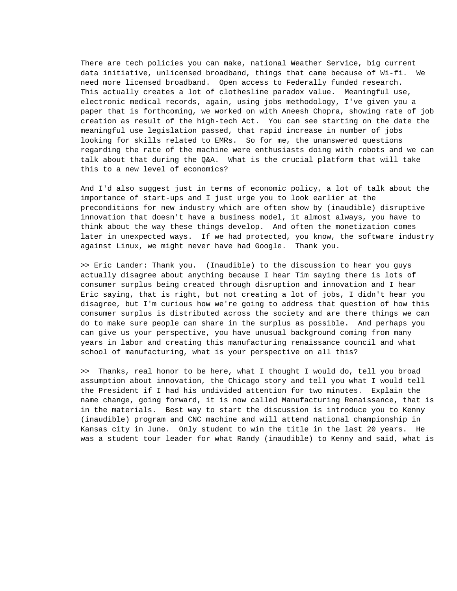There are tech policies you can make, national Weather Service, big current data initiative, unlicensed broadband, things that came because of Wi-fi. We need more licensed broadband. Open access to Federally funded research. This actually creates a lot of clothesline paradox value. Meaningful use, electronic medical records, again, using jobs methodology, I've given you a paper that is forthcoming, we worked on with Aneesh Chopra, showing rate of job creation as result of the high-tech Act. You can see starting on the date the meaningful use legislation passed, that rapid increase in number of jobs looking for skills related to EMRs. So for me, the unanswered questions regarding the rate of the machine were enthusiasts doing with robots and we can talk about that during the Q&A. What is the crucial platform that will take this to a new level of economics?

And I'd also suggest just in terms of economic policy, a lot of talk about the importance of start-ups and I just urge you to look earlier at the preconditions for new industry which are often show by (inaudible) disruptive innovation that doesn't have a business model, it almost always, you have to think about the way these things develop. And often the monetization comes later in unexpected ways. If we had protected, you know, the software industry against Linux, we might never have had Google. Thank you.

>> Eric Lander: Thank you. (Inaudible) to the discussion to hear you guys actually disagree about anything because I hear Tim saying there is lots of consumer surplus being created through disruption and innovation and I hear Eric saying, that is right, but not creating a lot of jobs, I didn't hear you disagree, but I'm curious how we're going to address that question of how this consumer surplus is distributed across the society and are there things we can do to make sure people can share in the surplus as possible. And perhaps you can give us your perspective, you have unusual background coming from many years in labor and creating this manufacturing renaissance council and what school of manufacturing, what is your perspective on all this?

>> Thanks, real honor to be here, what I thought I would do, tell you broad assumption about innovation, the Chicago story and tell you what I would tell the President if I had his undivided attention for two minutes. Explain the name change, going forward, it is now called Manufacturing Renaissance, that is in the materials. Best way to start the discussion is introduce you to Kenny (inaudible) program and CNC machine and will attend national championship in Kansas city in June. Only student to win the title in the last 20 years. He was a student tour leader for what Randy (inaudible) to Kenny and said, what is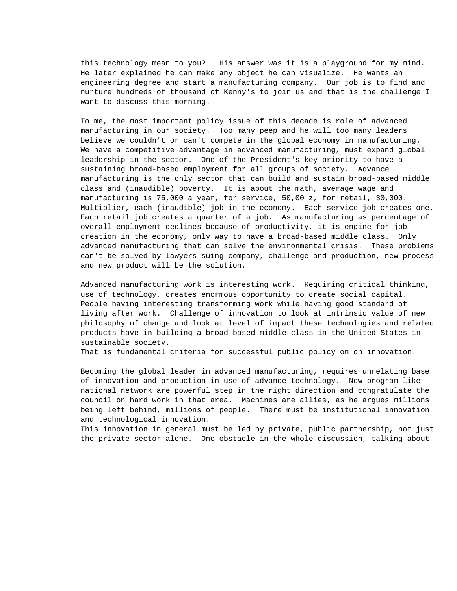this technology mean to you? His answer was it is a playground for my mind. He later explained he can make any object he can visualize. He wants an engineering degree and start a manufacturing company. Our job is to find and nurture hundreds of thousand of Kenny's to join us and that is the challenge I want to discuss this morning.

To me, the most important policy issue of this decade is role of advanced manufacturing in our society. Too many peep and he will too many leaders believe we couldn't or can't compete in the global economy in manufacturing. We have a competitive advantage in advanced manufacturing, must expand global leadership in the sector. One of the President's key priority to have a sustaining broad-based employment for all groups of society. Advance manufacturing is the only sector that can build and sustain broad-based middle class and (inaudible) poverty. It is about the math, average wage and manufacturing is 75,000 a year, for service, 50,00 z, for retail, 30,000. Multiplier, each (inaudible) job in the economy. Each service job creates one. Each retail job creates a quarter of a job. As manufacturing as percentage of overall employment declines because of productivity, it is engine for job creation in the economy, only way to have a broad-based middle class. Only advanced manufacturing that can solve the environmental crisis. These problems can't be solved by lawyers suing company, challenge and production, new process and new product will be the solution.

Advanced manufacturing work is interesting work. Requiring critical thinking, use of technology, creates enormous opportunity to create social capital. People having interesting transforming work while having good standard of living after work. Challenge of innovation to look at intrinsic value of new philosophy of change and look at level of impact these technologies and related products have in building a broad-based middle class in the United States in sustainable society.

That is fundamental criteria for successful public policy on on innovation.

Becoming the global leader in advanced manufacturing, requires unrelating base of innovation and production in use of advance technology. New program like national network are powerful step in the right direction and congratulate the council on hard work in that area. Machines are allies, as he argues millions being left behind, millions of people. There must be institutional innovation and technological innovation.

This innovation in general must be led by private, public partnership, not just the private sector alone. One obstacle in the whole discussion, talking about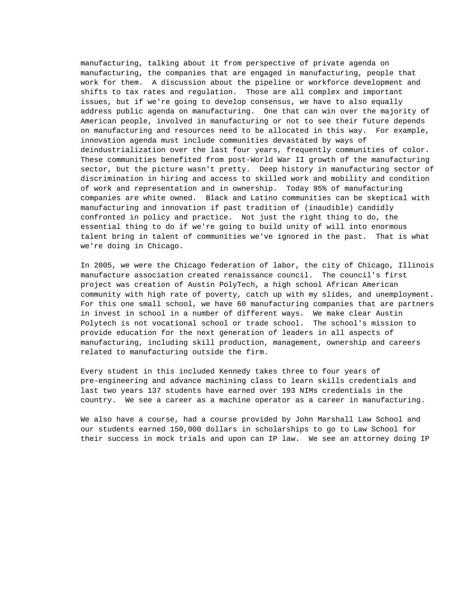manufacturing, talking about it from perspective of private agenda on manufacturing, the companies that are engaged in manufacturing, people that work for them. A discussion about the pipeline or workforce development and shifts to tax rates and regulation. Those are all complex and important issues, but if we're going to develop consensus, we have to also equally address public agenda on manufacturing. One that can win over the majority of American people, involved in manufacturing or not to see their future depends on manufacturing and resources need to be allocated in this way. For example, innovation agenda must include communities devastated by ways of deindustrialization over the last four years, frequently communities of color. These communities benefited from post-World War II growth of the manufacturing sector, but the picture wasn't pretty. Deep history in manufacturing sector of discrimination in hiring and access to skilled work and mobility and condition of work and representation and in ownership. Today 95% of manufacturing companies are white owned. Black and Latino communities can be skeptical with manufacturing and innovation if past tradition of (inaudible) candidly confronted in policy and practice. Not just the right thing to do, the essential thing to do if we're going to build unity of will into enormous talent bring in talent of communities we've ignored in the past. That is what we're doing in Chicago.

In 2005, we were the Chicago federation of labor, the city of Chicago, Illinois manufacture association created renaissance council. The council's first project was creation of Austin PolyTech, a high school African American community with high rate of poverty, catch up with my slides, and unemployment. For this one small school, we have 60 manufacturing companies that are partners in invest in school in a number of different ways. We make clear Austin Polytech is not vocational school or trade school. The school's mission to provide education for the next generation of leaders in all aspects of manufacturing, including skill production, management, ownership and careers related to manufacturing outside the firm.

Every student in this included Kennedy takes three to four years of pre-engineering and advance machining class to learn skills credentials and last two years 137 students have earned over 193 NIMs credentials in the country. We see a career as a machine operator as a career in manufacturing.

We also have a course, had a course provided by John Marshall Law School and our students earned 150,000 dollars in scholarships to go to Law School for their success in mock trials and upon can IP law. We see an attorney doing IP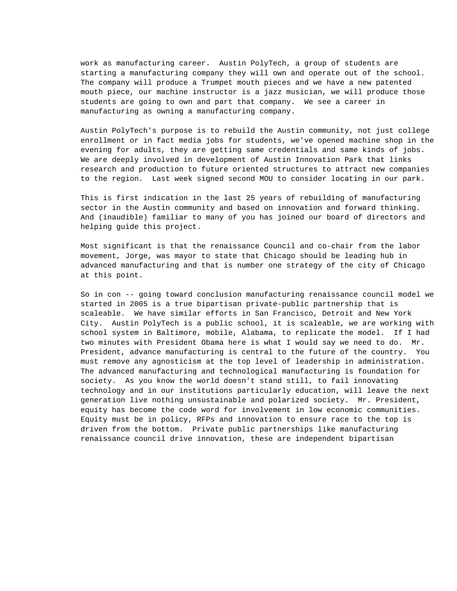work as manufacturing career. Austin PolyTech, a group of students are starting a manufacturing company they will own and operate out of the school. The company will produce a Trumpet mouth pieces and we have a new patented mouth piece, our machine instructor is a jazz musician, we will produce those students are going to own and part that company. We see a career in manufacturing as owning a manufacturing company.

Austin PolyTech's purpose is to rebuild the Austin community, not just college enrollment or in fact media jobs for students, we've opened machine shop in the evening for adults, they are getting same credentials and same kinds of jobs. We are deeply involved in development of Austin Innovation Park that links research and production to future oriented structures to attract new companies to the region. Last week signed second MOU to consider locating in our park.

This is first indication in the last 25 years of rebuilding of manufacturing sector in the Austin community and based on innovation and forward thinking. And (inaudible) familiar to many of you has joined our board of directors and helping guide this project.

Most significant is that the renaissance Council and co-chair from the labor movement, Jorge, was mayor to state that Chicago should be leading hub in advanced manufacturing and that is number one strategy of the city of Chicago at this point.

So in con -- going toward conclusion manufacturing renaissance council model we started in 2005 is a true bipartisan private-public partnership that is scaleable. We have similar efforts in San Francisco, Detroit and New York City. Austin PolyTech is a public school, it is scaleable, we are working with school system in Baltimore, mobile, Alabama, to replicate the model. If I had two minutes with President Obama here is what I would say we need to do. Mr. President, advance manufacturing is central to the future of the country. You must remove any agnosticism at the top level of leadership in administration. The advanced manufacturing and technological manufacturing is foundation for society. As you know the world doesn't stand still, to fail innovating technology and in our institutions particularly education, will leave the next generation live nothing unsustainable and polarized society. Mr. President, equity has become the code word for involvement in low economic communities. Equity must be in policy, RFPs and innovation to ensure race to the top is driven from the bottom. Private public partnerships like manufacturing renaissance council drive innovation, these are independent bipartisan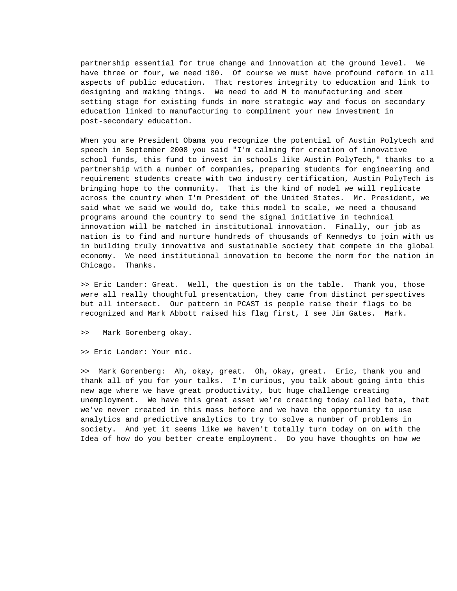partnership essential for true change and innovation at the ground level. We have three or four, we need 100. Of course we must have profound reform in all aspects of public education. That restores integrity to education and link to designing and making things. We need to add M to manufacturing and stem setting stage for existing funds in more strategic way and focus on secondary education linked to manufacturing to compliment your new investment in post-secondary education.

When you are President Obama you recognize the potential of Austin Polytech and speech in September 2008 you said "I'm calming for creation of innovative school funds, this fund to invest in schools like Austin PolyTech," thanks to a partnership with a number of companies, preparing students for engineering and requirement students create with two industry certification, Austin PolyTech is bringing hope to the community. That is the kind of model we will replicate across the country when I'm President of the United States. Mr. President, we said what we said we would do, take this model to scale, we need a thousand programs around the country to send the signal initiative in technical innovation will be matched in institutional innovation. Finally, our job as nation is to find and nurture hundreds of thousands of Kennedys to join with us in building truly innovative and sustainable society that compete in the global economy. We need institutional innovation to become the norm for the nation in Chicago. Thanks.

>> Eric Lander: Great. Well, the question is on the table. Thank you, those were all really thoughtful presentation, they came from distinct perspectives but all intersect. Our pattern in PCAST is people raise their flags to be recognized and Mark Abbott raised his flag first, I see Jim Gates. Mark.

>> Mark Gorenberg okay.

>> Eric Lander: Your mic.

>> Mark Gorenberg: Ah, okay, great. Oh, okay, great. Eric, thank you and thank all of you for your talks. I'm curious, you talk about going into this new age where we have great productivity, but huge challenge creating unemployment. We have this great asset we're creating today called beta, that we've never created in this mass before and we have the opportunity to use analytics and predictive analytics to try to solve a number of problems in society. And yet it seems like we haven't totally turn today on on with the Idea of how do you better create employment. Do you have thoughts on how we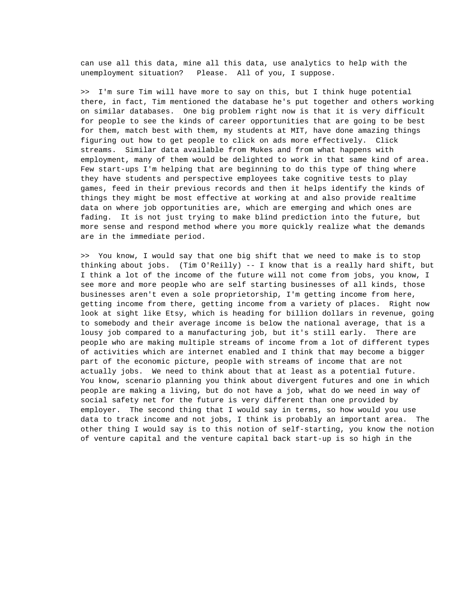can use all this data, mine all this data, use analytics to help with the unemployment situation? Please. All of you, I suppose.

>> I'm sure Tim will have more to say on this, but I think huge potential there, in fact, Tim mentioned the database he's put together and others working on similar databases. One big problem right now is that it is very difficult for people to see the kinds of career opportunities that are going to be best for them, match best with them, my students at MIT, have done amazing things figuring out how to get people to click on ads more effectively. Click streams. Similar data available from Mukes and from what happens with employment, many of them would be delighted to work in that same kind of area. Few start-ups I'm helping that are beginning to do this type of thing where they have students and perspective employees take cognitive tests to play games, feed in their previous records and then it helps identify the kinds of things they might be most effective at working at and also provide realtime data on where job opportunities are, which are emerging and which ones are fading. It is not just trying to make blind prediction into the future, but more sense and respond method where you more quickly realize what the demands are in the immediate period.

>> You know, I would say that one big shift that we need to make is to stop thinking about jobs. (Tim O'Reilly) -- I know that is a really hard shift, but I think a lot of the income of the future will not come from jobs, you know, I see more and more people who are self starting businesses of all kinds, those businesses aren't even a sole proprietorship, I'm getting income from here, getting income from there, getting income from a variety of places. Right now look at sight like Etsy, which is heading for billion dollars in revenue, going to somebody and their average income is below the national average, that is a lousy job compared to a manufacturing job, but it's still early. There are people who are making multiple streams of income from a lot of different types of activities which are internet enabled and I think that may become a bigger part of the economic picture, people with streams of income that are not actually jobs. We need to think about that at least as a potential future. You know, scenario planning you think about divergent futures and one in which people are making a living, but do not have a job, what do we need in way of social safety net for the future is very different than one provided by employer. The second thing that I would say in terms, so how would you use data to track income and not jobs, I think is probably an important area. The other thing I would say is to this notion of self-starting, you know the notion of venture capital and the venture capital back start-up is so high in the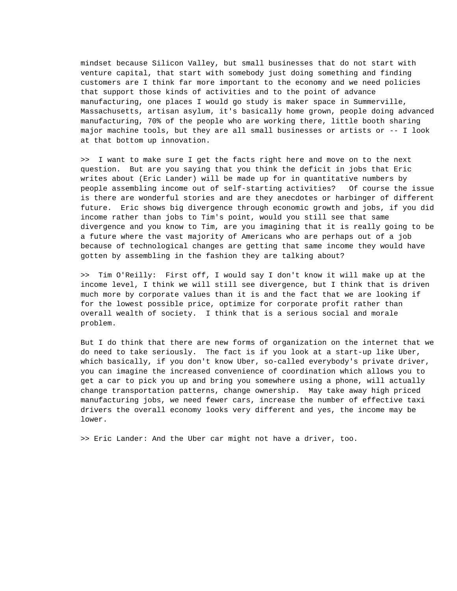mindset because Silicon Valley, but small businesses that do not start with venture capital, that start with somebody just doing something and finding customers are I think far more important to the economy and we need policies that support those kinds of activities and to the point of advance manufacturing, one places I would go study is maker space in Summerville, Massachusetts, artisan asylum, it's basically home grown, people doing advanced manufacturing, 70% of the people who are working there, little booth sharing major machine tools, but they are all small businesses or artists or -- I look at that bottom up innovation.

>> I want to make sure I get the facts right here and move on to the next question. But are you saying that you think the deficit in jobs that Eric writes about (Eric Lander) will be made up for in quantitative numbers by people assembling income out of self-starting activities? Of course the issue is there are wonderful stories and are they anecdotes or harbinger of different future. Eric shows big divergence through economic growth and jobs, if you did income rather than jobs to Tim's point, would you still see that same divergence and you know to Tim, are you imagining that it is really going to be a future where the vast majority of Americans who are perhaps out of a job because of technological changes are getting that same income they would have gotten by assembling in the fashion they are talking about?

>> Tim O'Reilly: First off, I would say I don't know it will make up at the income level, I think we will still see divergence, but I think that is driven much more by corporate values than it is and the fact that we are looking if for the lowest possible price, optimize for corporate profit rather than overall wealth of society. I think that is a serious social and morale problem.

But I do think that there are new forms of organization on the internet that we do need to take seriously. The fact is if you look at a start-up like Uber, which basically, if you don't know Uber, so-called everybody's private driver, you can imagine the increased convenience of coordination which allows you to get a car to pick you up and bring you somewhere using a phone, will actually change transportation patterns, change ownership. May take away high priced manufacturing jobs, we need fewer cars, increase the number of effective taxi drivers the overall economy looks very different and yes, the income may be lower.

>> Eric Lander: And the Uber car might not have a driver, too.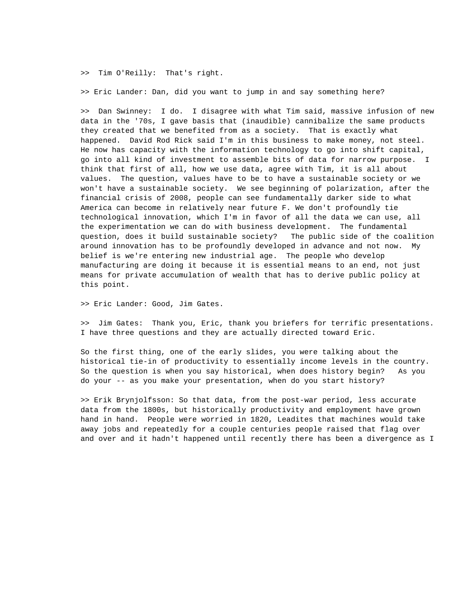>> Tim O'Reilly: That's right.

>> Eric Lander: Dan, did you want to jump in and say something here?

>> Dan Swinney: I do. I disagree with what Tim said, massive infusion of new data in the '70s, I gave basis that (inaudible) cannibalize the same products they created that we benefited from as a society. That is exactly what happened. David Rod Rick said I'm in this business to make money, not steel. He now has capacity with the information technology to go into shift capital, go into all kind of investment to assemble bits of data for narrow purpose. I think that first of all, how we use data, agree with Tim, it is all about values. The question, values have to be to have a sustainable society or we won't have a sustainable society. We see beginning of polarization, after the financial crisis of 2008, people can see fundamentally darker side to what America can become in relatively near future F. We don't profoundly tie technological innovation, which I'm in favor of all the data we can use, all the experimentation we can do with business development. The fundamental question, does it build sustainable society? The public side of the coalition around innovation has to be profoundly developed in advance and not now. My belief is we're entering new industrial age. The people who develop manufacturing are doing it because it is essential means to an end, not just means for private accumulation of wealth that has to derive public policy at this point.

>> Eric Lander: Good, Jim Gates.

>> Jim Gates: Thank you, Eric, thank you briefers for terrific presentations. I have three questions and they are actually directed toward Eric.

So the first thing, one of the early slides, you were talking about the historical tie-in of productivity to essentially income levels in the country. So the question is when you say historical, when does history begin? As you do your -- as you make your presentation, when do you start history?

>> Erik Brynjolfsson: So that data, from the post-war period, less accurate data from the 1800s, but historically productivity and employment have grown hand in hand. People were worried in 1820, Leadites that machines would take away jobs and repeatedly for a couple centuries people raised that flag over and over and it hadn't happened until recently there has been a divergence as I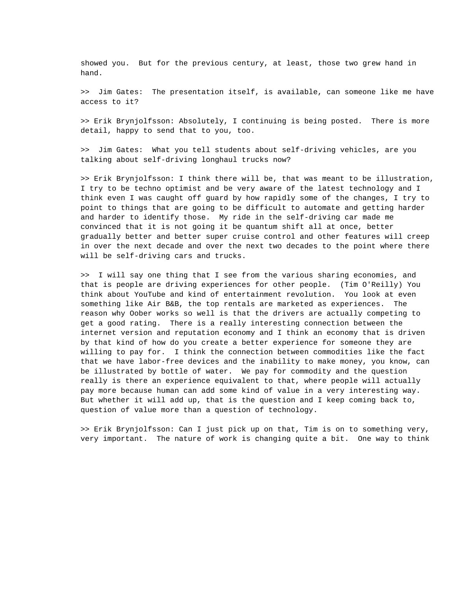showed you. But for the previous century, at least, those two grew hand in hand.

>> Jim Gates: The presentation itself, is available, can someone like me have access to it?

>> Erik Brynjolfsson: Absolutely, I continuing is being posted. There is more detail, happy to send that to you, too.

>> Jim Gates: What you tell students about self-driving vehicles, are you talking about self-driving longhaul trucks now?

>> Erik Brynjolfsson: I think there will be, that was meant to be illustration, I try to be techno optimist and be very aware of the latest technology and I think even I was caught off guard by how rapidly some of the changes, I try to point to things that are going to be difficult to automate and getting harder and harder to identify those. My ride in the self-driving car made me convinced that it is not going it be quantum shift all at once, better gradually better and better super cruise control and other features will creep in over the next decade and over the next two decades to the point where there will be self-driving cars and trucks.

>> I will say one thing that I see from the various sharing economies, and that is people are driving experiences for other people. (Tim O'Reilly) You think about YouTube and kind of entertainment revolution. You look at even something like Air B&B, the top rentals are marketed as experiences. The reason why Oober works so well is that the drivers are actually competing to get a good rating. There is a really interesting connection between the internet version and reputation economy and I think an economy that is driven by that kind of how do you create a better experience for someone they are willing to pay for. I think the connection between commodities like the fact that we have labor-free devices and the inability to make money, you know, can be illustrated by bottle of water. We pay for commodity and the question really is there an experience equivalent to that, where people will actually pay more because human can add some kind of value in a very interesting way. But whether it will add up, that is the question and I keep coming back to, question of value more than a question of technology.

>> Erik Brynjolfsson: Can I just pick up on that, Tim is on to something very, very important. The nature of work is changing quite a bit. One way to think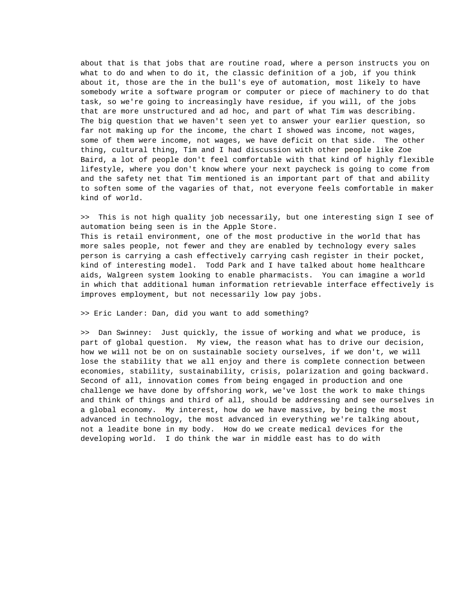about that is that jobs that are routine road, where a person instructs you on what to do and when to do it, the classic definition of a job, if you think about it, those are the in the bull's eye of automation, most likely to have somebody write a software program or computer or piece of machinery to do that task, so we're going to increasingly have residue, if you will, of the jobs that are more unstructured and ad hoc, and part of what Tim was describing. The big question that we haven't seen yet to answer your earlier question, so far not making up for the income, the chart I showed was income, not wages, some of them were income, not wages, we have deficit on that side. The other thing, cultural thing, Tim and I had discussion with other people like Zoe Baird, a lot of people don't feel comfortable with that kind of highly flexible lifestyle, where you don't know where your next paycheck is going to come from and the safety net that Tim mentioned is an important part of that and ability to soften some of the vagaries of that, not everyone feels comfortable in maker kind of world.

>> This is not high quality job necessarily, but one interesting sign I see of automation being seen is in the Apple Store. This is retail environment, one of the most productive in the world that has more sales people, not fewer and they are enabled by technology every sales person is carrying a cash effectively carrying cash register in their pocket, kind of interesting model. Todd Park and I have talked about home healthcare aids, Walgreen system looking to enable pharmacists. You can imagine a world in which that additional human information retrievable interface effectively is improves employment, but not necessarily low pay jobs.

>> Eric Lander: Dan, did you want to add something?

>> Dan Swinney: Just quickly, the issue of working and what we produce, is part of global question. My view, the reason what has to drive our decision, how we will not be on on sustainable society ourselves, if we don't, we will lose the stability that we all enjoy and there is complete connection between economies, stability, sustainability, crisis, polarization and going backward. Second of all, innovation comes from being engaged in production and one challenge we have done by offshoring work, we've lost the work to make things and think of things and third of all, should be addressing and see ourselves in a global economy. My interest, how do we have massive, by being the most advanced in technology, the most advanced in everything we're talking about, not a leadite bone in my body. How do we create medical devices for the developing world. I do think the war in middle east has to do with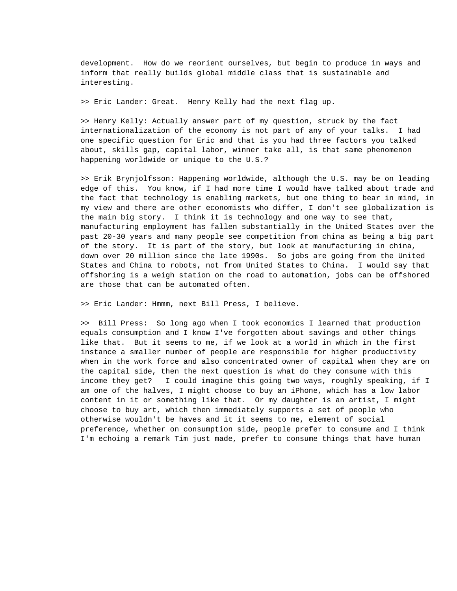development. How do we reorient ourselves, but begin to produce in ways and inform that really builds global middle class that is sustainable and interesting.

>> Eric Lander: Great. Henry Kelly had the next flag up.

>> Henry Kelly: Actually answer part of my question, struck by the fact internationalization of the economy is not part of any of your talks. I had one specific question for Eric and that is you had three factors you talked about, skills gap, capital labor, winner take all, is that same phenomenon happening worldwide or unique to the U.S.?

>> Erik Brynjolfsson: Happening worldwide, although the U.S. may be on leading edge of this. You know, if I had more time I would have talked about trade and the fact that technology is enabling markets, but one thing to bear in mind, in my view and there are other economists who differ, I don't see globalization is the main big story. I think it is technology and one way to see that, manufacturing employment has fallen substantially in the United States over the past 20-30 years and many people see competition from china as being a big part of the story. It is part of the story, but look at manufacturing in china, down over 20 million since the late 1990s. So jobs are going from the United States and China to robots, not from United States to China. I would say that offshoring is a weigh station on the road to automation, jobs can be offshored are those that can be automated often.

>> Eric Lander: Hmmm, next Bill Press, I believe.

>> Bill Press: So long ago when I took economics I learned that production equals consumption and I know I've forgotten about savings and other things like that. But it seems to me, if we look at a world in which in the first instance a smaller number of people are responsible for higher productivity when in the work force and also concentrated owner of capital when they are on the capital side, then the next question is what do they consume with this income they get? I could imagine this going two ways, roughly speaking, if I am one of the halves, I might choose to buy an iPhone, which has a low labor content in it or something like that. Or my daughter is an artist, I might choose to buy art, which then immediately supports a set of people who otherwise wouldn't be haves and it it seems to me, element of social preference, whether on consumption side, people prefer to consume and I think I'm echoing a remark Tim just made, prefer to consume things that have human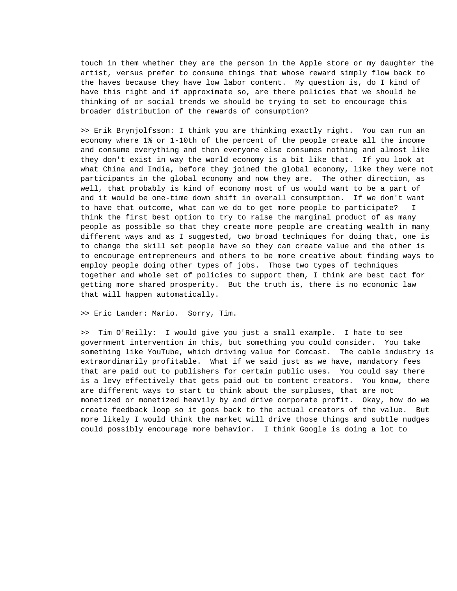touch in them whether they are the person in the Apple store or my daughter the artist, versus prefer to consume things that whose reward simply flow back to the haves because they have low labor content. My question is, do I kind of have this right and if approximate so, are there policies that we should be thinking of or social trends we should be trying to set to encourage this broader distribution of the rewards of consumption?

>> Erik Brynjolfsson: I think you are thinking exactly right. You can run an economy where 1% or 1-10th of the percent of the people create all the income and consume everything and then everyone else consumes nothing and almost like they don't exist in way the world economy is a bit like that. If you look at what China and India, before they joined the global economy, like they were not participants in the global economy and now they are. The other direction, as well, that probably is kind of economy most of us would want to be a part of and it would be one-time down shift in overall consumption. If we don't want to have that outcome, what can we do to get more people to participate? I think the first best option to try to raise the marginal product of as many people as possible so that they create more people are creating wealth in many different ways and as I suggested, two broad techniques for doing that, one is to change the skill set people have so they can create value and the other is to encourage entrepreneurs and others to be more creative about finding ways to employ people doing other types of jobs. Those two types of techniques together and whole set of policies to support them, I think are best tact for getting more shared prosperity. But the truth is, there is no economic law that will happen automatically.

>> Eric Lander: Mario. Sorry, Tim.

>> Tim O'Reilly: I would give you just a small example. I hate to see government intervention in this, but something you could consider. You take something like YouTube, which driving value for Comcast. The cable industry is extraordinarily profitable. What if we said just as we have, mandatory fees that are paid out to publishers for certain public uses. You could say there is a levy effectively that gets paid out to content creators. You know, there are different ways to start to think about the surpluses, that are not monetized or monetized heavily by and drive corporate profit. Okay, how do we create feedback loop so it goes back to the actual creators of the value. But more likely I would think the market will drive those things and subtle nudges could possibly encourage more behavior. I think Google is doing a lot to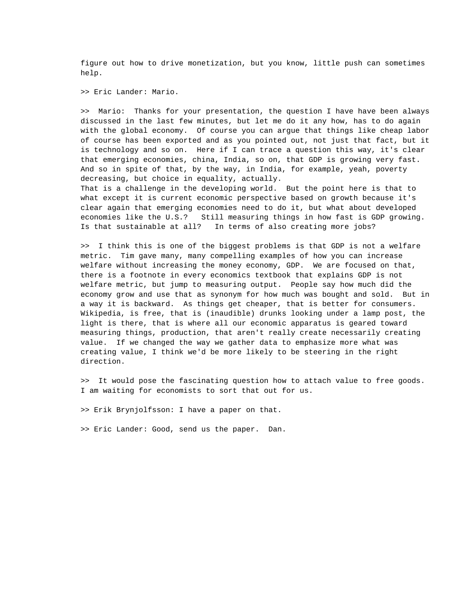figure out how to drive monetization, but you know, little push can sometimes help.

>> Eric Lander: Mario.

>> Mario: Thanks for your presentation, the question I have have been always discussed in the last few minutes, but let me do it any how, has to do again with the global economy. Of course you can argue that things like cheap labor of course has been exported and as you pointed out, not just that fact, but it is technology and so on. Here if I can trace a question this way, it's clear that emerging economies, china, India, so on, that GDP is growing very fast. And so in spite of that, by the way, in India, for example, yeah, poverty decreasing, but choice in equality, actually.

That is a challenge in the developing world. But the point here is that to what except it is current economic perspective based on growth because it's clear again that emerging economies need to do it, but what about developed economies like the U.S.? Still measuring things in how fast is GDP growing. Is that sustainable at all? In terms of also creating more jobs?

>> I think this is one of the biggest problems is that GDP is not a welfare metric. Tim gave many, many compelling examples of how you can increase welfare without increasing the money economy, GDP. We are focused on that, there is a footnote in every economics textbook that explains GDP is not welfare metric, but jump to measuring output. People say how much did the economy grow and use that as synonym for how much was bought and sold. But in a way it is backward. As things get cheaper, that is better for consumers. Wikipedia, is free, that is (inaudible) drunks looking under a lamp post, the light is there, that is where all our economic apparatus is geared toward measuring things, production, that aren't really create necessarily creating value. If we changed the way we gather data to emphasize more what was creating value, I think we'd be more likely to be steering in the right direction.

>> It would pose the fascinating question how to attach value to free goods. I am waiting for economists to sort that out for us.

>> Erik Brynjolfsson: I have a paper on that.

>> Eric Lander: Good, send us the paper. Dan.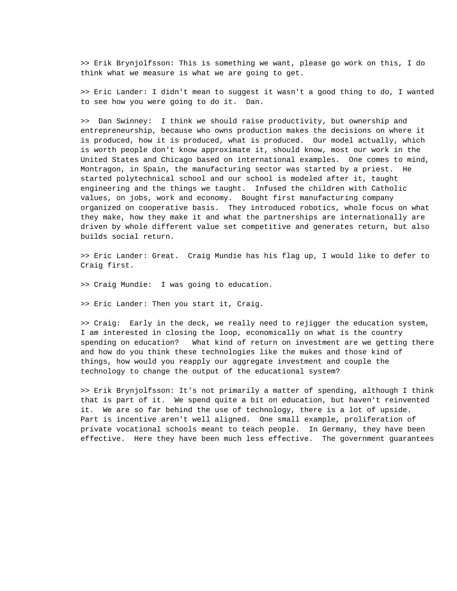>> Erik Brynjolfsson: This is something we want, please go work on this, I do think what we measure is what we are going to get.

>> Eric Lander: I didn't mean to suggest it wasn't a good thing to do, I wanted to see how you were going to do it. Dan.

>> Dan Swinney: I think we should raise productivity, but ownership and entrepreneurship, because who owns production makes the decisions on where it is produced, how it is produced, what is produced. Our model actually, which is worth people don't know approximate it, should know, most our work in the United States and Chicago based on international examples. One comes to mind, Montragon, in Spain, the manufacturing sector was started by a priest. He started polytechnical school and our school is modeled after it, taught engineering and the things we taught. Infused the children with Catholic values, on jobs, work and economy. Bought first manufacturing company organized on cooperative basis. They introduced robotics, whole focus on what they make, how they make it and what the partnerships are internationally are driven by whole different value set competitive and generates return, but also builds social return.

>> Eric Lander: Great. Craig Mundie has his flag up, I would like to defer to Craig first.

>> Craig Mundie: I was going to education.

>> Eric Lander: Then you start it, Craig.

>> Craig: Early in the deck, we really need to rejigger the education system, I am interested in closing the loop, economically on what is the country spending on education? What kind of return on investment are we getting there and how do you think these technologies like the mukes and those kind of things, how would you reapply our aggregate investment and couple the technology to change the output of the educational system?

>> Erik Brynjolfsson: It's not primarily a matter of spending, although I think that is part of it. We spend quite a bit on education, but haven't reinvented it. We are so far behind the use of technology, there is a lot of upside. Part is incentive aren't well aligned. One small example, proliferation of private vocational schools meant to teach people. In Germany, they have been effective. Here they have been much less effective. The government guarantees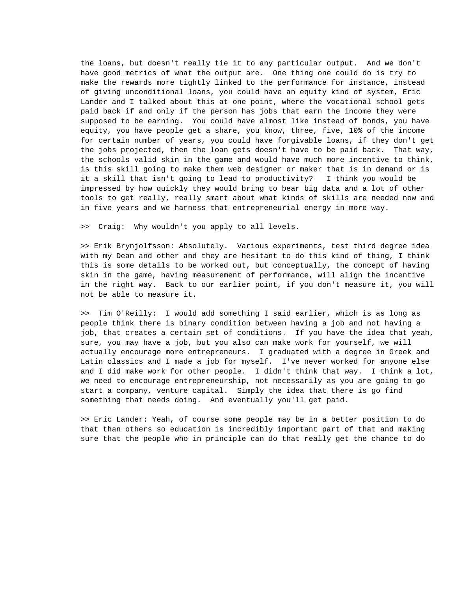the loans, but doesn't really tie it to any particular output. And we don't have good metrics of what the output are. One thing one could do is try to make the rewards more tightly linked to the performance for instance, instead of giving unconditional loans, you could have an equity kind of system, Eric Lander and I talked about this at one point, where the vocational school gets paid back if and only if the person has jobs that earn the income they were supposed to be earning. You could have almost like instead of bonds, you have equity, you have people get a share, you know, three, five, 10% of the income for certain number of years, you could have forgivable loans, if they don't get the jobs projected, then the loan gets doesn't have to be paid back. That way, the schools valid skin in the game and would have much more incentive to think, is this skill going to make them web designer or maker that is in demand or is it a skill that isn't going to lead to productivity? I think you would be impressed by how quickly they would bring to bear big data and a lot of other tools to get really, really smart about what kinds of skills are needed now and in five years and we harness that entrepreneurial energy in more way.

>> Craig: Why wouldn't you apply to all levels.

>> Erik Brynjolfsson: Absolutely. Various experiments, test third degree idea with my Dean and other and they are hesitant to do this kind of thing, I think this is some details to be worked out, but conceptually, the concept of having skin in the game, having measurement of performance, will align the incentive in the right way. Back to our earlier point, if you don't measure it, you will not be able to measure it.

>> Tim O'Reilly: I would add something I said earlier, which is as long as people think there is binary condition between having a job and not having a job, that creates a certain set of conditions. If you have the idea that yeah, sure, you may have a job, but you also can make work for yourself, we will actually encourage more entrepreneurs. I graduated with a degree in Greek and Latin classics and I made a job for myself. I've never worked for anyone else and I did make work for other people. I didn't think that way. I think a lot, we need to encourage entrepreneurship, not necessarily as you are going to go start a company, venture capital. Simply the idea that there is go find something that needs doing. And eventually you'll get paid.

>> Eric Lander: Yeah, of course some people may be in a better position to do that than others so education is incredibly important part of that and making sure that the people who in principle can do that really get the chance to do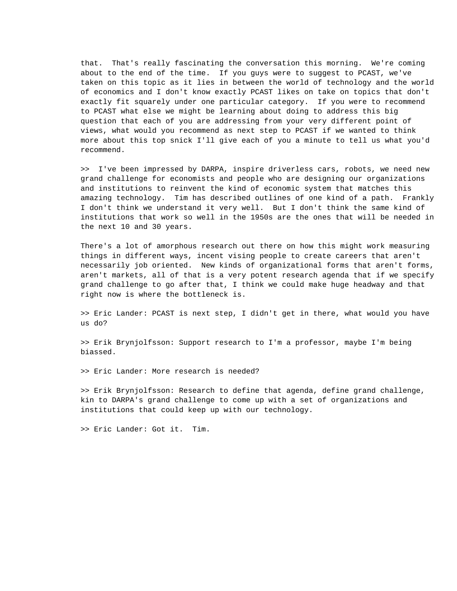that. That's really fascinating the conversation this morning. We're coming about to the end of the time. If you guys were to suggest to PCAST, we've taken on this topic as it lies in between the world of technology and the world of economics and I don't know exactly PCAST likes on take on topics that don't exactly fit squarely under one particular category. If you were to recommend to PCAST what else we might be learning about doing to address this big question that each of you are addressing from your very different point of views, what would you recommend as next step to PCAST if we wanted to think more about this top snick I'll give each of you a minute to tell us what you'd recommend.

>> I've been impressed by DARPA, inspire driverless cars, robots, we need new grand challenge for economists and people who are designing our organizations and institutions to reinvent the kind of economic system that matches this amazing technology. Tim has described outlines of one kind of a path. Frankly I don't think we understand it very well. But I don't think the same kind of institutions that work so well in the 1950s are the ones that will be needed in the next 10 and 30 years.

There's a lot of amorphous research out there on how this might work measuring things in different ways, incent vising people to create careers that aren't necessarily job oriented. New kinds of organizational forms that aren't forms, aren't markets, all of that is a very potent research agenda that if we specify grand challenge to go after that, I think we could make huge headway and that right now is where the bottleneck is.

>> Eric Lander: PCAST is next step, I didn't get in there, what would you have us do?

>> Erik Brynjolfsson: Support research to I'm a professor, maybe I'm being biassed.

>> Eric Lander: More research is needed?

>> Erik Brynjolfsson: Research to define that agenda, define grand challenge, kin to DARPA's grand challenge to come up with a set of organizations and institutions that could keep up with our technology.

>> Eric Lander: Got it. Tim.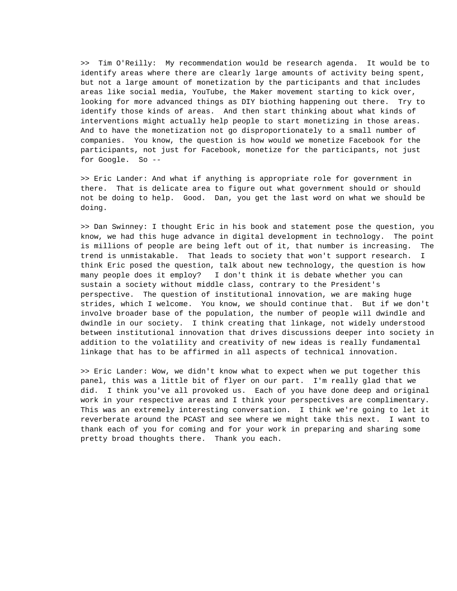>> Tim O'Reilly: My recommendation would be research agenda. It would be to identify areas where there are clearly large amounts of activity being spent, but not a large amount of monetization by the participants and that includes areas like social media, YouTube, the Maker movement starting to kick over, looking for more advanced things as DIY biothing happening out there. Try to identify those kinds of areas. And then start thinking about what kinds of interventions might actually help people to start monetizing in those areas. And to have the monetization not go disproportionately to a small number of companies. You know, the question is how would we monetize Facebook for the participants, not just for Facebook, monetize for the participants, not just for Google. So --

>> Eric Lander: And what if anything is appropriate role for government in there. That is delicate area to figure out what government should or should not be doing to help. Good. Dan, you get the last word on what we should be doing.

>> Dan Swinney: I thought Eric in his book and statement pose the question, you know, we had this huge advance in digital development in technology. The point is millions of people are being left out of it, that number is increasing. The trend is unmistakable. That leads to society that won't support research. I think Eric posed the question, talk about new technology, the question is how many people does it employ? I don't think it is debate whether you can sustain a society without middle class, contrary to the President's perspective. The question of institutional innovation, we are making huge strides, which I welcome. You know, we should continue that. But if we don't involve broader base of the population, the number of people will dwindle and dwindle in our society. I think creating that linkage, not widely understood between institutional innovation that drives discussions deeper into society in addition to the volatility and creativity of new ideas is really fundamental linkage that has to be affirmed in all aspects of technical innovation.

>> Eric Lander: Wow, we didn't know what to expect when we put together this panel, this was a little bit of flyer on our part. I'm really glad that we did. I think you've all provoked us. Each of you have done deep and original work in your respective areas and I think your perspectives are complimentary. This was an extremely interesting conversation. I think we're going to let it reverberate around the PCAST and see where we might take this next. I want to thank each of you for coming and for your work in preparing and sharing some pretty broad thoughts there. Thank you each.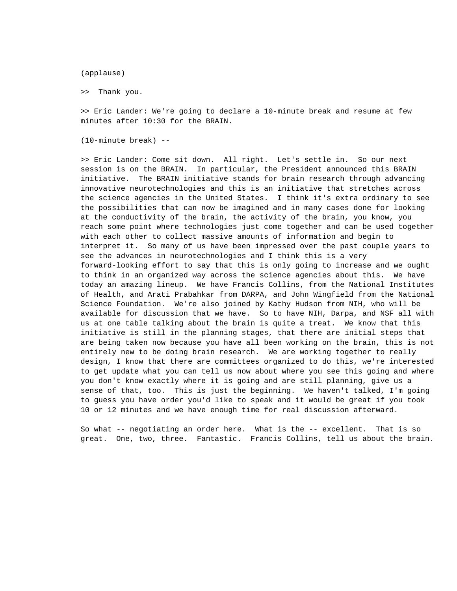(applause)

>> Thank you.

>> Eric Lander: We're going to declare a 10-minute break and resume at few minutes after 10:30 for the BRAIN.

(10-minute break) --

>> Eric Lander: Come sit down. All right. Let's settle in. So our next session is on the BRAIN. In particular, the President announced this BRAIN initiative. The BRAIN initiative stands for brain research through advancing innovative neurotechnologies and this is an initiative that stretches across the science agencies in the United States. I think it's extra ordinary to see the possibilities that can now be imagined and in many cases done for looking at the conductivity of the brain, the activity of the brain, you know, you reach some point where technologies just come together and can be used together with each other to collect massive amounts of information and begin to interpret it. So many of us have been impressed over the past couple years to see the advances in neurotechnologies and I think this is a very forward-looking effort to say that this is only going to increase and we ought to think in an organized way across the science agencies about this. We have today an amazing lineup. We have Francis Collins, from the National Institutes of Health, and Arati Prabahkar from DARPA, and John Wingfield from the National Science Foundation. We're also joined by Kathy Hudson from NIH, who will be available for discussion that we have. So to have NIH, Darpa, and NSF all with us at one table talking about the brain is quite a treat. We know that this initiative is still in the planning stages, that there are initial steps that are being taken now because you have all been working on the brain, this is not entirely new to be doing brain research. We are working together to really design, I know that there are committees organized to do this, we're interested to get update what you can tell us now about where you see this going and where you don't know exactly where it is going and are still planning, give us a sense of that, too. This is just the beginning. We haven't talked, I'm going to guess you have order you'd like to speak and it would be great if you took 10 or 12 minutes and we have enough time for real discussion afterward.

So what -- negotiating an order here. What is the -- excellent. That is so great. One, two, three. Fantastic. Francis Collins, tell us about the brain.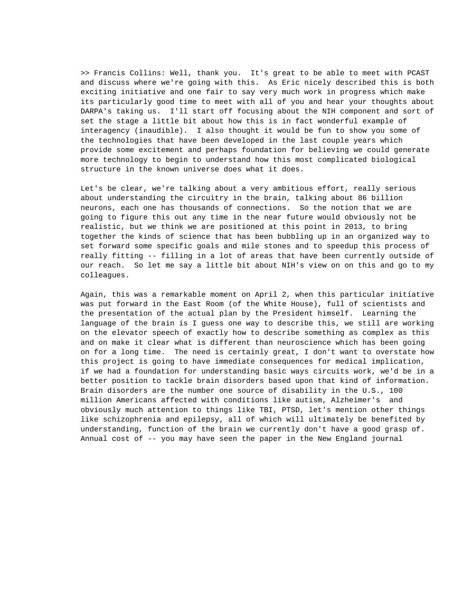>> Francis Collins: Well, thank you. It's great to be able to meet with PCAST and discuss where we're going with this. As Eric nicely described this is both exciting initiative and one fair to say very much work in progress which make its particularly good time to meet with all of you and hear your thoughts about DARPA's taking us. I'll start off focusing about the NIH component and sort of set the stage a little bit about how this is in fact wonderful example of interagency (inaudible). I also thought it would be fun to show you some of the technologies that have been developed in the last couple years which provide some excitement and perhaps foundation for believing we could generate more technology to begin to understand how this most complicated biological structure in the known universe does what it does.

Let's be clear, we're talking about a very ambitious effort, really serious about understanding the circuitry in the brain, talking about 86 billion neurons, each one has thousands of connections. So the notion that we are going to figure this out any time in the near future would obviously not be realistic, but we think we are positioned at this point in 2013, to bring together the kinds of science that has been bubbling up in an organized way to set forward some specific goals and mile stones and to speedup this process of really fitting -- filling in a lot of areas that have been currently outside of our reach. So let me say a little bit about NIH's view on on this and go to my colleagues.

Again, this was a remarkable moment on April 2, when this particular initiative was put forward in the East Room (of the White House), full of scientists and the presentation of the actual plan by the President himself. Learning the language of the brain is I guess one way to describe this, we still are working on the elevator speech of exactly how to describe something as complex as this and on make it clear what is different than neuroscience which has been going on for a long time. The need is certainly great, I don't want to overstate how this project is going to have immediate consequences for medical implication, if we had a foundation for understanding basic ways circuits work, we'd be in a better position to tackle brain disorders based upon that kind of information. Brain disorders are the number one source of disability in the U.S., 100 million Americans affected with conditions like autism, Alzheimer's and obviously much attention to things like TBI, PTSD, let's mention other things like schizophrenia and epilepsy, all of which will ultimately be benefited by understanding, function of the brain we currently don't have a good grasp of. Annual cost of -- you may have seen the paper in the New England journal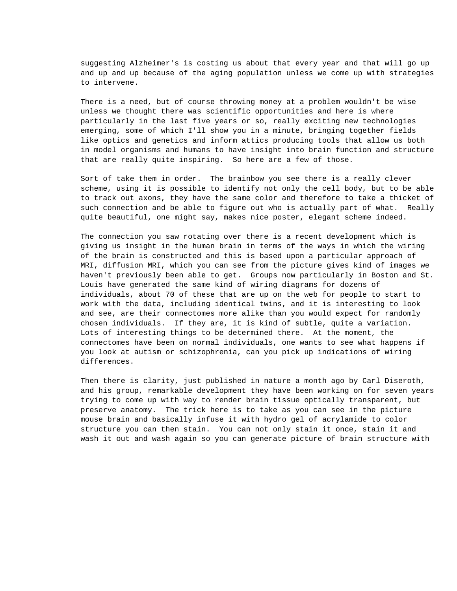suggesting Alzheimer's is costing us about that every year and that will go up and up and up because of the aging population unless we come up with strategies to intervene.

There is a need, but of course throwing money at a problem wouldn't be wise unless we thought there was scientific opportunities and here is where particularly in the last five years or so, really exciting new technologies emerging, some of which I'll show you in a minute, bringing together fields like optics and genetics and inform attics producing tools that allow us both in model organisms and humans to have insight into brain function and structure that are really quite inspiring. So here are a few of those.

Sort of take them in order. The brainbow you see there is a really clever scheme, using it is possible to identify not only the cell body, but to be able to track out axons, they have the same color and therefore to take a thicket of such connection and be able to figure out who is actually part of what. Really quite beautiful, one might say, makes nice poster, elegant scheme indeed.

The connection you saw rotating over there is a recent development which is giving us insight in the human brain in terms of the ways in which the wiring of the brain is constructed and this is based upon a particular approach of MRI, diffusion MRI, which you can see from the picture gives kind of images we haven't previously been able to get. Groups now particularly in Boston and St. Louis have generated the same kind of wiring diagrams for dozens of individuals, about 70 of these that are up on the web for people to start to work with the data, including identical twins, and it is interesting to look and see, are their connectomes more alike than you would expect for randomly chosen individuals. If they are, it is kind of subtle, quite a variation. Lots of interesting things to be determined there. At the moment, the connectomes have been on normal individuals, one wants to see what happens if you look at autism or schizophrenia, can you pick up indications of wiring differences.

Then there is clarity, just published in nature a month ago by Carl Diseroth, and his group, remarkable development they have been working on for seven years trying to come up with way to render brain tissue optically transparent, but preserve anatomy. The trick here is to take as you can see in the picture mouse brain and basically infuse it with hydro gel of acrylamide to color structure you can then stain. You can not only stain it once, stain it and wash it out and wash again so you can generate picture of brain structure with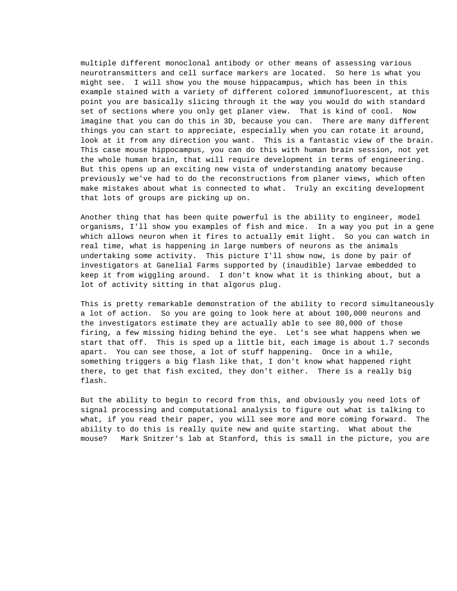multiple different monoclonal antibody or other means of assessing various neurotransmitters and cell surface markers are located. So here is what you might see. I will show you the mouse hippacampus, which has been in this example stained with a variety of different colored immunofluorescent, at this point you are basically slicing through it the way you would do with standard set of sections where you only get planer view. That is kind of cool. Now imagine that you can do this in 3D, because you can. There are many different things you can start to appreciate, especially when you can rotate it around, look at it from any direction you want. This is a fantastic view of the brain. This case mouse hippocampus, you can do this with human brain session, not yet the whole human brain, that will require development in terms of engineering. But this opens up an exciting new vista of understanding anatomy because previously we've had to do the reconstructions from planer views, which often make mistakes about what is connected to what. Truly an exciting development that lots of groups are picking up on.

Another thing that has been quite powerful is the ability to engineer, model organisms, I'll show you examples of fish and mice. In a way you put in a gene which allows neuron when it fires to actually emit light. So you can watch in real time, what is happening in large numbers of neurons as the animals undertaking some activity. This picture I'll show now, is done by pair of investigators at Ganelial Farms supported by (inaudible) larvae embedded to keep it from wiggling around. I don't know what it is thinking about, but a lot of activity sitting in that algorus plug.

This is pretty remarkable demonstration of the ability to record simultaneously a lot of action. So you are going to look here at about 100,000 neurons and the investigators estimate they are actually able to see 80,000 of those firing, a few missing hiding behind the eye. Let's see what happens when we start that off. This is sped up a little bit, each image is about 1.7 seconds apart. You can see those, a lot of stuff happening. Once in a while, something triggers a big flash like that, I don't know what happened right there, to get that fish excited, they don't either. There is a really big flash.

But the ability to begin to record from this, and obviously you need lots of signal processing and computational analysis to figure out what is talking to what, if you read their paper, you will see more and more coming forward. The ability to do this is really quite new and quite starting. What about the mouse? Mark Snitzer's lab at Stanford, this is small in the picture, you are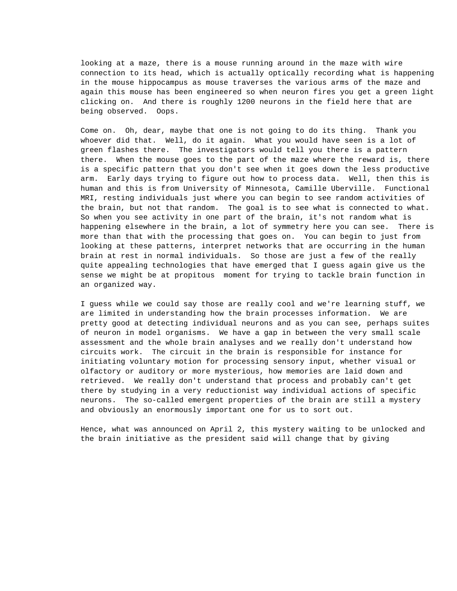looking at a maze, there is a mouse running around in the maze with wire connection to its head, which is actually optically recording what is happening in the mouse hippocampus as mouse traverses the various arms of the maze and again this mouse has been engineered so when neuron fires you get a green light clicking on. And there is roughly 1200 neurons in the field here that are being observed. Oops.

Come on. Oh, dear, maybe that one is not going to do its thing. Thank you whoever did that. Well, do it again. What you would have seen is a lot of green flashes there. The investigators would tell you there is a pattern there. When the mouse goes to the part of the maze where the reward is, there is a specific pattern that you don't see when it goes down the less productive arm. Early days trying to figure out how to process data. Well, then this is human and this is from University of Minnesota, Camille Uberville. Functional MRI, resting individuals just where you can begin to see random activities of the brain, but not that random. The goal is to see what is connected to what. So when you see activity in one part of the brain, it's not random what is happening elsewhere in the brain, a lot of symmetry here you can see. There is more than that with the processing that goes on. You can begin to just from looking at these patterns, interpret networks that are occurring in the human brain at rest in normal individuals. So those are just a few of the really quite appealing technologies that have emerged that I guess again give us the sense we might be at propitous moment for trying to tackle brain function in an organized way.

I guess while we could say those are really cool and we're learning stuff, we are limited in understanding how the brain processes information. We are pretty good at detecting individual neurons and as you can see, perhaps suites of neuron in model organisms. We have a gap in between the very small scale assessment and the whole brain analyses and we really don't understand how circuits work. The circuit in the brain is responsible for instance for initiating voluntary motion for processing sensory input, whether visual or olfactory or auditory or more mysterious, how memories are laid down and retrieved. We really don't understand that process and probably can't get there by studying in a very reductionist way individual actions of specific neurons. The so-called emergent properties of the brain are still a mystery and obviously an enormously important one for us to sort out.

Hence, what was announced on April 2, this mystery waiting to be unlocked and the brain initiative as the president said will change that by giving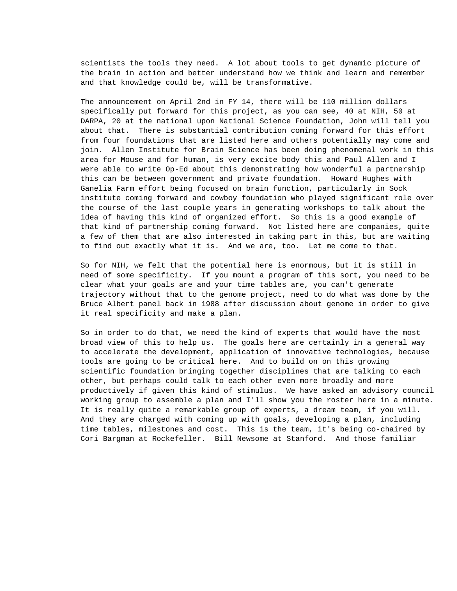scientists the tools they need. A lot about tools to get dynamic picture of the brain in action and better understand how we think and learn and remember and that knowledge could be, will be transformative.

The announcement on April 2nd in FY 14, there will be 110 million dollars specifically put forward for this project, as you can see, 40 at NIH, 50 at DARPA, 20 at the national upon National Science Foundation, John will tell you about that. There is substantial contribution coming forward for this effort from four foundations that are listed here and others potentially may come and join. Allen Institute for Brain Science has been doing phenomenal work in this area for Mouse and for human, is very excite body this and Paul Allen and I were able to write Op-Ed about this demonstrating how wonderful a partnership this can be between government and private foundation. Howard Hughes with Ganelia Farm effort being focused on brain function, particularly in Sock institute coming forward and cowboy foundation who played significant role over the course of the last couple years in generating workshops to talk about the idea of having this kind of organized effort. So this is a good example of that kind of partnership coming forward. Not listed here are companies, quite a few of them that are also interested in taking part in this, but are waiting to find out exactly what it is. And we are, too. Let me come to that.

So for NIH, we felt that the potential here is enormous, but it is still in need of some specificity. If you mount a program of this sort, you need to be clear what your goals are and your time tables are, you can't generate trajectory without that to the genome project, need to do what was done by the Bruce Albert panel back in 1988 after discussion about genome in order to give it real specificity and make a plan.

So in order to do that, we need the kind of experts that would have the most broad view of this to help us. The goals here are certainly in a general way to accelerate the development, application of innovative technologies, because tools are going to be critical here. And to build on on this growing scientific foundation bringing together disciplines that are talking to each other, but perhaps could talk to each other even more broadly and more productively if given this kind of stimulus. We have asked an advisory council working group to assemble a plan and I'll show you the roster here in a minute. It is really quite a remarkable group of experts, a dream team, if you will. And they are charged with coming up with goals, developing a plan, including time tables, milestones and cost. This is the team, it's being co-chaired by Cori Bargman at Rockefeller. Bill Newsome at Stanford. And those familiar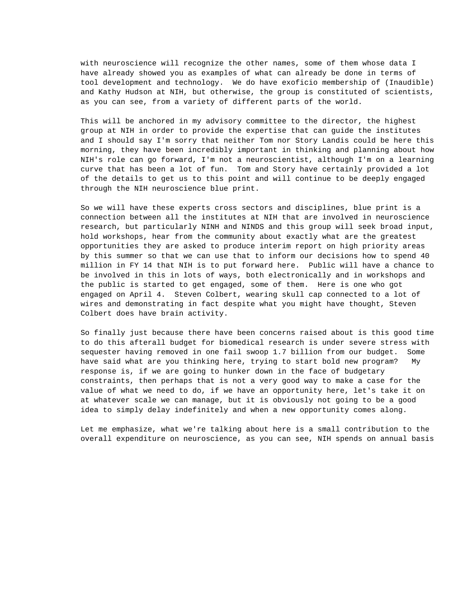with neuroscience will recognize the other names, some of them whose data I have already showed you as examples of what can already be done in terms of tool development and technology. We do have exoficio membership of (Inaudible) and Kathy Hudson at NIH, but otherwise, the group is constituted of scientists, as you can see, from a variety of different parts of the world.

This will be anchored in my advisory committee to the director, the highest group at NIH in order to provide the expertise that can guide the institutes and I should say I'm sorry that neither Tom nor Story Landis could be here this morning, they have been incredibly important in thinking and planning about how NIH's role can go forward, I'm not a neuroscientist, although I'm on a learning curve that has been a lot of fun. Tom and Story have certainly provided a lot of the details to get us to this point and will continue to be deeply engaged through the NIH neuroscience blue print.

So we will have these experts cross sectors and disciplines, blue print is a connection between all the institutes at NIH that are involved in neuroscience research, but particularly NINH and NINDS and this group will seek broad input, hold workshops, hear from the community about exactly what are the greatest opportunities they are asked to produce interim report on high priority areas by this summer so that we can use that to inform our decisions how to spend 40 million in FY 14 that NIH is to put forward here. Public will have a chance to be involved in this in lots of ways, both electronically and in workshops and the public is started to get engaged, some of them. Here is one who got engaged on April 4. Steven Colbert, wearing skull cap connected to a lot of wires and demonstrating in fact despite what you might have thought, Steven Colbert does have brain activity.

So finally just because there have been concerns raised about is this good time to do this afterall budget for biomedical research is under severe stress with sequester having removed in one fail swoop 1.7 billion from our budget. Some have said what are you thinking here, trying to start bold new program? My response is, if we are going to hunker down in the face of budgetary constraints, then perhaps that is not a very good way to make a case for the value of what we need to do, if we have an opportunity here, let's take it on at whatever scale we can manage, but it is obviously not going to be a good idea to simply delay indefinitely and when a new opportunity comes along.

Let me emphasize, what we're talking about here is a small contribution to the overall expenditure on neuroscience, as you can see, NIH spends on annual basis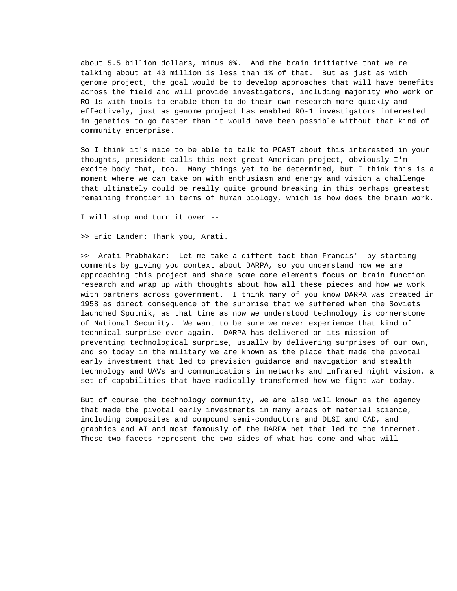about 5.5 billion dollars, minus 6%. And the brain initiative that we're talking about at 40 million is less than 1% of that. But as just as with genome project, the goal would be to develop approaches that will have benefits across the field and will provide investigators, including majority who work on RO-1s with tools to enable them to do their own research more quickly and effectively, just as genome project has enabled RO-1 investigators interested in genetics to go faster than it would have been possible without that kind of community enterprise.

So I think it's nice to be able to talk to PCAST about this interested in your thoughts, president calls this next great American project, obviously I'm excite body that, too. Many things yet to be determined, but I think this is a moment where we can take on with enthusiasm and energy and vision a challenge that ultimately could be really quite ground breaking in this perhaps greatest remaining frontier in terms of human biology, which is how does the brain work.

I will stop and turn it over --

>> Eric Lander: Thank you, Arati.

>> Arati Prabhakar: Let me take a differt tact than Francis' by starting comments by giving you context about DARPA, so you understand how we are approaching this project and share some core elements focus on brain function research and wrap up with thoughts about how all these pieces and how we work with partners across government. I think many of you know DARPA was created in 1958 as direct consequence of the surprise that we suffered when the Soviets launched Sputnik, as that time as now we understood technology is cornerstone of National Security. We want to be sure we never experience that kind of technical surprise ever again. DARPA has delivered on its mission of preventing technological surprise, usually by delivering surprises of our own, and so today in the military we are known as the place that made the pivotal early investment that led to prevision guidance and navigation and stealth technology and UAVs and communications in networks and infrared night vision, a set of capabilities that have radically transformed how we fight war today.

But of course the technology community, we are also well known as the agency that made the pivotal early investments in many areas of material science, including composites and compound semi-conductors and DLSI and CAD, and graphics and AI and most famously of the DARPA net that led to the internet. These two facets represent the two sides of what has come and what will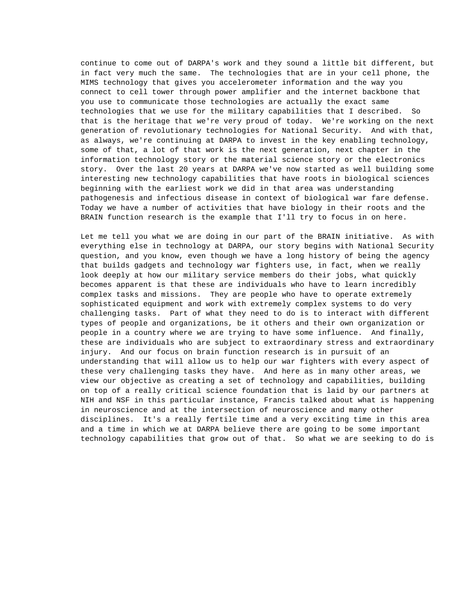continue to come out of DARPA's work and they sound a little bit different, but in fact very much the same. The technologies that are in your cell phone, the MIMS technology that gives you accelerometer information and the way you connect to cell tower through power amplifier and the internet backbone that you use to communicate those technologies are actually the exact same technologies that we use for the military capabilities that I described. So that is the heritage that we're very proud of today. We're working on the next generation of revolutionary technologies for National Security. And with that, as always, we're continuing at DARPA to invest in the key enabling technology, some of that, a lot of that work is the next generation, next chapter in the information technology story or the material science story or the electronics story. Over the last 20 years at DARPA we've now started as well building some interesting new technology capabilities that have roots in biological sciences beginning with the earliest work we did in that area was understanding pathogenesis and infectious disease in context of biological war fare defense. Today we have a number of activities that have biology in their roots and the BRAIN function research is the example that I'll try to focus in on here.

Let me tell you what we are doing in our part of the BRAIN initiative. As with everything else in technology at DARPA, our story begins with National Security question, and you know, even though we have a long history of being the agency that builds gadgets and technology war fighters use, in fact, when we really look deeply at how our military service members do their jobs, what quickly becomes apparent is that these are individuals who have to learn incredibly complex tasks and missions. They are people who have to operate extremely sophisticated equipment and work with extremely complex systems to do very challenging tasks. Part of what they need to do is to interact with different types of people and organizations, be it others and their own organization or people in a country where we are trying to have some influence. And finally, these are individuals who are subject to extraordinary stress and extraordinary injury. And our focus on brain function research is in pursuit of an understanding that will allow us to help our war fighters with every aspect of these very challenging tasks they have. And here as in many other areas, we view our objective as creating a set of technology and capabilities, building on top of a really critical science foundation that is laid by our partners at NIH and NSF in this particular instance, Francis talked about what is happening in neuroscience and at the intersection of neuroscience and many other disciplines. It's a really fertile time and a very exciting time in this area and a time in which we at DARPA believe there are going to be some important technology capabilities that grow out of that. So what we are seeking to do is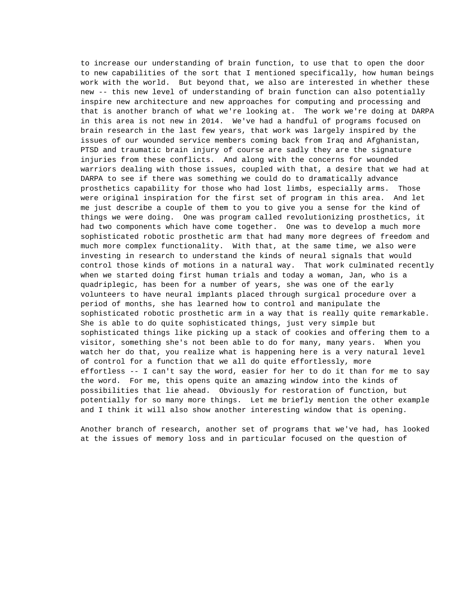to increase our understanding of brain function, to use that to open the door to new capabilities of the sort that I mentioned specifically, how human beings work with the world. But beyond that, we also are interested in whether these new -- this new level of understanding of brain function can also potentially inspire new architecture and new approaches for computing and processing and that is another branch of what we're looking at. The work we're doing at DARPA in this area is not new in 2014. We've had a handful of programs focused on brain research in the last few years, that work was largely inspired by the issues of our wounded service members coming back from Iraq and Afghanistan, PTSD and traumatic brain injury of course are sadly they are the signature injuries from these conflicts. And along with the concerns for wounded warriors dealing with those issues, coupled with that, a desire that we had at DARPA to see if there was something we could do to dramatically advance prosthetics capability for those who had lost limbs, especially arms. Those were original inspiration for the first set of program in this area. And let me just describe a couple of them to you to give you a sense for the kind of things we were doing. One was program called revolutionizing prosthetics, it had two components which have come together. One was to develop a much more sophisticated robotic prosthetic arm that had many more degrees of freedom and much more complex functionality. With that, at the same time, we also were investing in research to understand the kinds of neural signals that would control those kinds of motions in a natural way. That work culminated recently when we started doing first human trials and today a woman, Jan, who is a quadriplegic, has been for a number of years, she was one of the early volunteers to have neural implants placed through surgical procedure over a period of months, she has learned how to control and manipulate the sophisticated robotic prosthetic arm in a way that is really quite remarkable. She is able to do quite sophisticated things, just very simple but sophisticated things like picking up a stack of cookies and offering them to a visitor, something she's not been able to do for many, many years. When you watch her do that, you realize what is happening here is a very natural level of control for a function that we all do quite effortlessly, more effortless -- I can't say the word, easier for her to do it than for me to say the word. For me, this opens quite an amazing window into the kinds of possibilities that lie ahead. Obviously for restoration of function, but potentially for so many more things. Let me briefly mention the other example and I think it will also show another interesting window that is opening.

Another branch of research, another set of programs that we've had, has looked at the issues of memory loss and in particular focused on the question of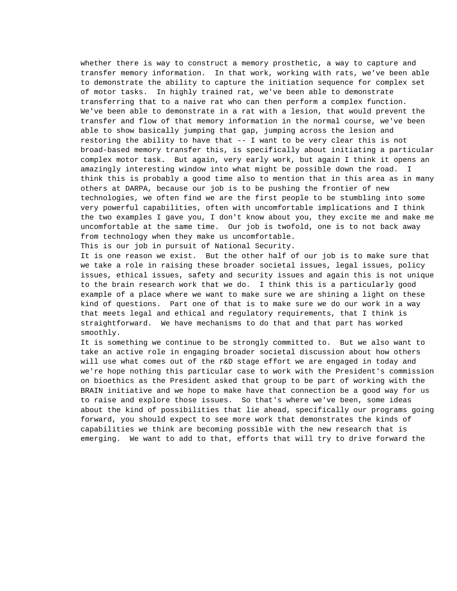whether there is way to construct a memory prosthetic, a way to capture and transfer memory information. In that work, working with rats, we've been able to demonstrate the ability to capture the initiation sequence for complex set of motor tasks. In highly trained rat, we've been able to demonstrate transferring that to a naive rat who can then perform a complex function. We've been able to demonstrate in a rat with a lesion, that would prevent the transfer and flow of that memory information in the normal course, we've been able to show basically jumping that gap, jumping across the lesion and restoring the ability to have that -- I want to be very clear this is not broad-based memory transfer this, is specifically about initiating a particular complex motor task. But again, very early work, but again I think it opens an amazingly interesting window into what might be possible down the road. I think this is probably a good time also to mention that in this area as in many others at DARPA, because our job is to be pushing the frontier of new technologies, we often find we are the first people to be stumbling into some very powerful capabilities, often with uncomfortable implications and I think the two examples I gave you, I don't know about you, they excite me and make me uncomfortable at the same time. Our job is twofold, one is to not back away from technology when they make us uncomfortable.

This is our job in pursuit of National Security.

It is one reason we exist. But the other half of our job is to make sure that we take a role in raising these broader societal issues, legal issues, policy issues, ethical issues, safety and security issues and again this is not unique to the brain research work that we do. I think this is a particularly good example of a place where we want to make sure we are shining a light on these kind of questions. Part one of that is to make sure we do our work in a way that meets legal and ethical and regulatory requirements, that I think is straightforward. We have mechanisms to do that and that part has worked smoothly.

It is something we continue to be strongly committed to. But we also want to take an active role in engaging broader societal discussion about how others will use what comes out of the r&D stage effort we are engaged in today and we're hope nothing this particular case to work with the President's commission on bioethics as the President asked that group to be part of working with the BRAIN initiative and we hope to make have that connection be a good way for us to raise and explore those issues. So that's where we've been, some ideas about the kind of possibilities that lie ahead, specifically our programs going forward, you should expect to see more work that demonstrates the kinds of capabilities we think are becoming possible with the new research that is emerging. We want to add to that, efforts that will try to drive forward the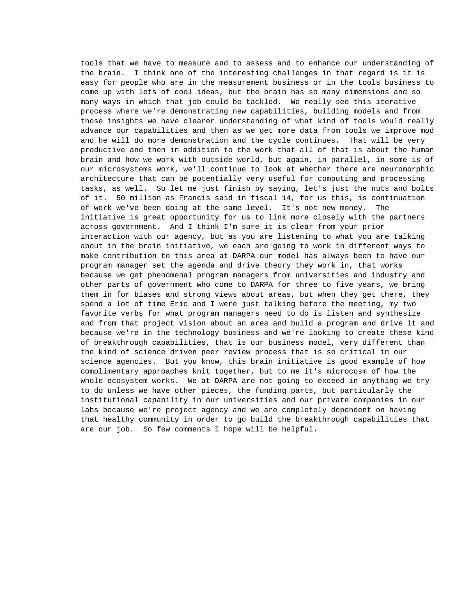tools that we have to measure and to assess and to enhance our understanding of the brain. I think one of the interesting challenges in that regard is it is easy for people who are in the measurement business or in the tools business to come up with lots of cool ideas, but the brain has so many dimensions and so many ways in which that job could be tackled. We really see this iterative process where we're demonstrating new capabilities, building models and from those insights we have clearer understanding of what kind of tools would really advance our capabilities and then as we get more data from tools we improve mod and he will do more demonstration and the cycle continues. That will be very productive and then in addition to the work that all of that is about the human brain and how we work with outside world, but again, in parallel, in some is of our microsystems work, we'll continue to look at whether there are neuromorphic architecture that can be potentially very useful for computing and processing tasks, as well. So let me just finish by saying, let's just the nuts and bolts of it. 50 million as Francis said in fiscal 14, for us this, is continuation of work we've been doing at the same level. It's not new money. The initiative is great opportunity for us to link more closely with the partners across government. And I think I'm sure it is clear from your prior interaction with our agency, but as you are listening to what you are talking about in the brain initiative, we each are going to work in different ways to make contribution to this area at DARPA our model has always been to have our program manager set the agenda and drive theory they work in, that works because we get phenomenal program managers from universities and industry and other parts of government who come to DARPA for three to five years, we bring them in for biases and strong views about areas, but when they get there, they spend a lot of time Eric and I were just talking before the meeting, my two favorite verbs for what program managers need to do is listen and synthesize and from that project vision about an area and build a program and drive it and because we're in the technology business and we're looking to create these kind of breakthrough capabilities, that is our business model, very different than the kind of science driven peer review process that is so critical in our science agencies. But you know, this brain initiative is good example of how complimentary approaches knit together, but to me it's microcosm of how the whole ecosystem works. We at DARPA are not going to exceed in anything we try to do unless we have other pieces, the funding parts, but particularly the institutional capability in our universities and our private companies in our labs because we're project agency and we are completely dependent on having that healthy community in order to go build the breakthrough capabilities that are our job. So few comments I hope will be helpful.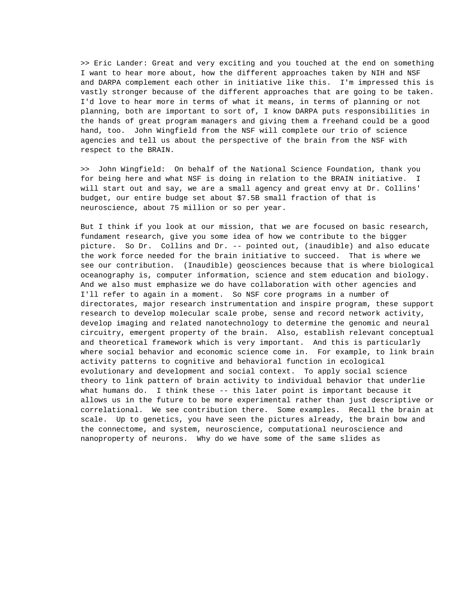>> Eric Lander: Great and very exciting and you touched at the end on something I want to hear more about, how the different approaches taken by NIH and NSF and DARPA complement each other in initiative like this. I'm impressed this is vastly stronger because of the different approaches that are going to be taken. I'd love to hear more in terms of what it means, in terms of planning or not planning, both are important to sort of, I know DARPA puts responsibilities in the hands of great program managers and giving them a freehand could be a good hand, too. John Wingfield from the NSF will complete our trio of science agencies and tell us about the perspective of the brain from the NSF with respect to the BRAIN.

>> John Wingfield: On behalf of the National Science Foundation, thank you for being here and what NSF is doing in relation to the BRAIN initiative. I will start out and say, we are a small agency and great envy at Dr. Collins' budget, our entire budge set about \$7.5B small fraction of that is neuroscience, about 75 million or so per year.

But I think if you look at our mission, that we are focused on basic research, fundament research, give you some idea of how we contribute to the bigger picture. So Dr. Collins and Dr. -- pointed out, (inaudible) and also educate the work force needed for the brain initiative to succeed. That is where we see our contribution. (Inaudible) geosciences because that is where biological oceanography is, computer information, science and stem education and biology. And we also must emphasize we do have collaboration with other agencies and I'll refer to again in a moment. So NSF core programs in a number of directorates, major research instrumentation and inspire program, these support research to develop molecular scale probe, sense and record network activity, develop imaging and related nanotechnology to determine the genomic and neural circuitry, emergent property of the brain. Also, establish relevant conceptual and theoretical framework which is very important. And this is particularly where social behavior and economic science come in. For example, to link brain activity patterns to cognitive and behavioral function in ecological evolutionary and development and social context. To apply social science theory to link pattern of brain activity to individual behavior that underlie what humans do. I think these -- this later point is important because it allows us in the future to be more experimental rather than just descriptive or correlational. We see contribution there. Some examples. Recall the brain at scale. Up to genetics, you have seen the pictures already, the brain bow and the connectome, and system, neuroscience, computational neuroscience and nanoproperty of neurons. Why do we have some of the same slides as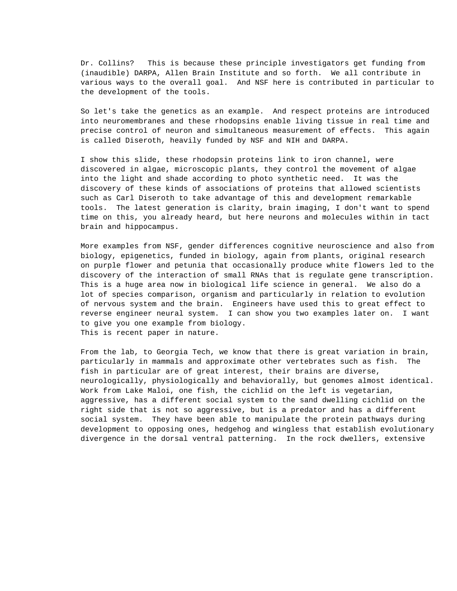Dr. Collins? This is because these principle investigators get funding from (inaudible) DARPA, Allen Brain Institute and so forth. We all contribute in various ways to the overall goal. And NSF here is contributed in particular to the development of the tools.

So let's take the genetics as an example. And respect proteins are introduced into neuromembranes and these rhodopsins enable living tissue in real time and precise control of neuron and simultaneous measurement of effects. This again is called Diseroth, heavily funded by NSF and NIH and DARPA.

I show this slide, these rhodopsin proteins link to iron channel, were discovered in algae, microscopic plants, they control the movement of algae into the light and shade according to photo synthetic need. It was the discovery of these kinds of associations of proteins that allowed scientists such as Carl Diseroth to take advantage of this and development remarkable tools. The latest generation is clarity, brain imaging, I don't want to spend time on this, you already heard, but here neurons and molecules within in tact brain and hippocampus.

More examples from NSF, gender differences cognitive neuroscience and also from biology, epigenetics, funded in biology, again from plants, original research on purple flower and petunia that occasionally produce white flowers led to the discovery of the interaction of small RNAs that is regulate gene transcription. This is a huge area now in biological life science in general. We also do a lot of species comparison, organism and particularly in relation to evolution of nervous system and the brain. Engineers have used this to great effect to reverse engineer neural system. I can show you two examples later on. I want to give you one example from biology. This is recent paper in nature.

From the lab, to Georgia Tech, we know that there is great variation in brain, particularly in mammals and approximate other vertebrates such as fish. The fish in particular are of great interest, their brains are diverse, neurologically, physiologically and behaviorally, but genomes almost identical. Work from Lake Maloi, one fish, the cichlid on the left is vegetarian, aggressive, has a different social system to the sand dwelling cichlid on the right side that is not so aggressive, but is a predator and has a different social system. They have been able to manipulate the protein pathways during development to opposing ones, hedgehog and wingless that establish evolutionary divergence in the dorsal ventral patterning. In the rock dwellers, extensive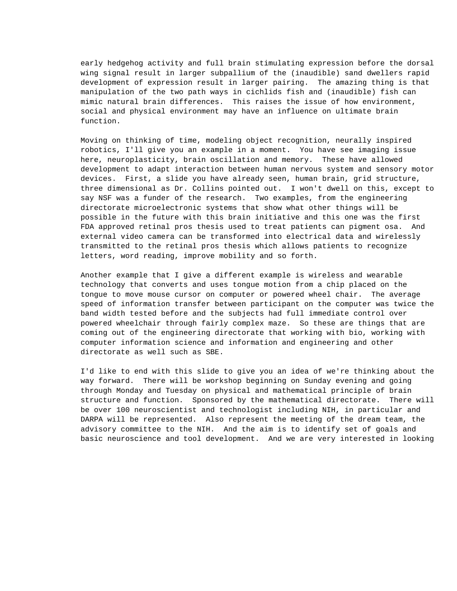early hedgehog activity and full brain stimulating expression before the dorsal wing signal result in larger subpallium of the (inaudible) sand dwellers rapid development of expression result in larger pairing. The amazing thing is that manipulation of the two path ways in cichlids fish and (inaudible) fish can mimic natural brain differences. This raises the issue of how environment, social and physical environment may have an influence on ultimate brain function.

Moving on thinking of time, modeling object recognition, neurally inspired robotics, I'll give you an example in a moment. You have see imaging issue here, neuroplasticity, brain oscillation and memory. These have allowed development to adapt interaction between human nervous system and sensory motor devices. First, a slide you have already seen, human brain, grid structure, three dimensional as Dr. Collins pointed out. I won't dwell on this, except to say NSF was a funder of the research. Two examples, from the engineering directorate microelectronic systems that show what other things will be possible in the future with this brain initiative and this one was the first FDA approved retinal pros thesis used to treat patients can pigment osa. And external video camera can be transformed into electrical data and wirelessly transmitted to the retinal pros thesis which allows patients to recognize letters, word reading, improve mobility and so forth.

Another example that I give a different example is wireless and wearable technology that converts and uses tongue motion from a chip placed on the tongue to move mouse cursor on computer or powered wheel chair. The average speed of information transfer between participant on the computer was twice the band width tested before and the subjects had full immediate control over powered wheelchair through fairly complex maze. So these are things that are coming out of the engineering directorate that working with bio, working with computer information science and information and engineering and other directorate as well such as SBE.

I'd like to end with this slide to give you an idea of we're thinking about the way forward. There will be workshop beginning on Sunday evening and going through Monday and Tuesday on physical and mathematical principle of brain structure and function. Sponsored by the mathematical directorate. There will be over 100 neuroscientist and technologist including NIH, in particular and DARPA will be represented. Also represent the meeting of the dream team, the advisory committee to the NIH. And the aim is to identify set of goals and basic neuroscience and tool development. And we are very interested in looking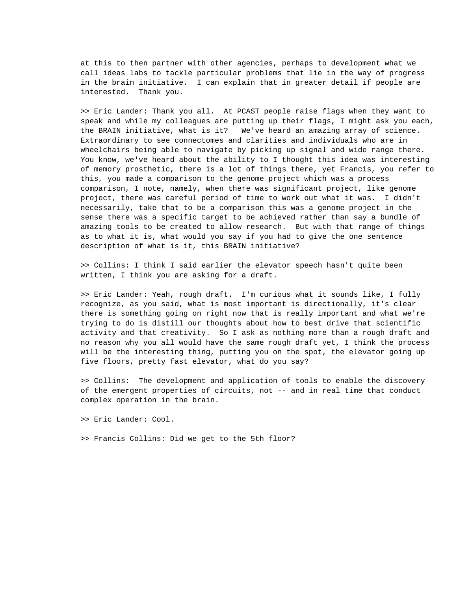at this to then partner with other agencies, perhaps to development what we call ideas labs to tackle particular problems that lie in the way of progress in the brain initiative. I can explain that in greater detail if people are interested. Thank you.

>> Eric Lander: Thank you all. At PCAST people raise flags when they want to speak and while my colleagues are putting up their flags, I might ask you each, the BRAIN initiative, what is it? We've heard an amazing array of science. Extraordinary to see connectomes and clarities and individuals who are in wheelchairs being able to navigate by picking up signal and wide range there. You know, we've heard about the ability to I thought this idea was interesting of memory prosthetic, there is a lot of things there, yet Francis, you refer to this, you made a comparison to the genome project which was a process comparison, I note, namely, when there was significant project, like genome project, there was careful period of time to work out what it was. I didn't necessarily, take that to be a comparison this was a genome project in the sense there was a specific target to be achieved rather than say a bundle of amazing tools to be created to allow research. But with that range of things as to what it is, what would you say if you had to give the one sentence description of what is it, this BRAIN initiative?

>> Collins: I think I said earlier the elevator speech hasn't quite been written, I think you are asking for a draft.

>> Eric Lander: Yeah, rough draft. I'm curious what it sounds like, I fully recognize, as you said, what is most important is directionally, it's clear there is something going on right now that is really important and what we're trying to do is distill our thoughts about how to best drive that scientific activity and that creativity. So I ask as nothing more than a rough draft and no reason why you all would have the same rough draft yet, I think the process will be the interesting thing, putting you on the spot, the elevator going up five floors, pretty fast elevator, what do you say?

>> Collins: The development and application of tools to enable the discovery of the emergent properties of circuits, not -- and in real time that conduct complex operation in the brain.

>> Eric Lander: Cool.

>> Francis Collins: Did we get to the 5th floor?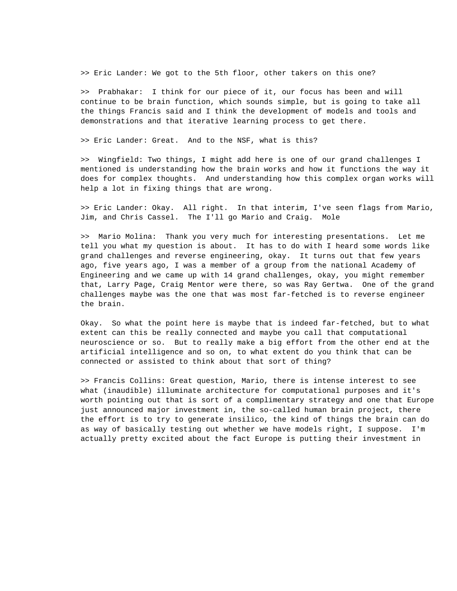>> Eric Lander: We got to the 5th floor, other takers on this one?

>> Prabhakar: I think for our piece of it, our focus has been and will continue to be brain function, which sounds simple, but is going to take all the things Francis said and I think the development of models and tools and demonstrations and that iterative learning process to get there.

>> Eric Lander: Great. And to the NSF, what is this?

>> Wingfield: Two things, I might add here is one of our grand challenges I mentioned is understanding how the brain works and how it functions the way it does for complex thoughts. And understanding how this complex organ works will help a lot in fixing things that are wrong.

>> Eric Lander: Okay. All right. In that interim, I've seen flags from Mario, Jim, and Chris Cassel. The I'll go Mario and Craig. Mole

>> Mario Molina: Thank you very much for interesting presentations. Let me tell you what my question is about. It has to do with I heard some words like grand challenges and reverse engineering, okay. It turns out that few years ago, five years ago, I was a member of a group from the national Academy of Engineering and we came up with 14 grand challenges, okay, you might remember that, Larry Page, Craig Mentor were there, so was Ray Gertwa. One of the grand challenges maybe was the one that was most far-fetched is to reverse engineer the brain.

Okay. So what the point here is maybe that is indeed far-fetched, but to what extent can this be really connected and maybe you call that computational neuroscience or so. But to really make a big effort from the other end at the artificial intelligence and so on, to what extent do you think that can be connected or assisted to think about that sort of thing?

>> Francis Collins: Great question, Mario, there is intense interest to see what (inaudible) illuminate architecture for computational purposes and it's worth pointing out that is sort of a complimentary strategy and one that Europe just announced major investment in, the so-called human brain project, there the effort is to try to generate insilico, the kind of things the brain can do as way of basically testing out whether we have models right, I suppose. I'm actually pretty excited about the fact Europe is putting their investment in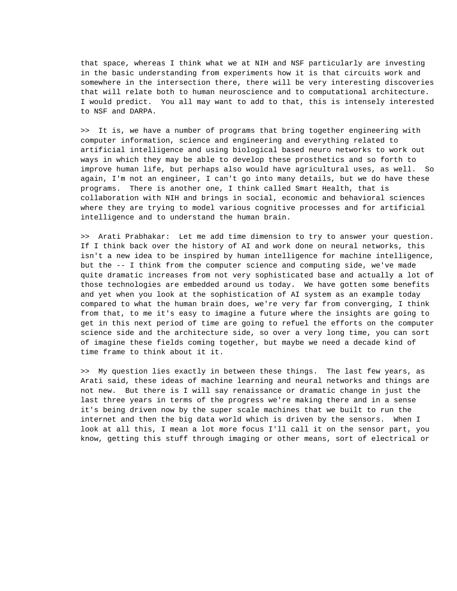that space, whereas I think what we at NIH and NSF particularly are investing in the basic understanding from experiments how it is that circuits work and somewhere in the intersection there, there will be very interesting discoveries that will relate both to human neuroscience and to computational architecture. I would predict. You all may want to add to that, this is intensely interested to NSF and DARPA.

>> It is, we have a number of programs that bring together engineering with computer information, science and engineering and everything related to artificial intelligence and using biological based neuro networks to work out ways in which they may be able to develop these prosthetics and so forth to improve human life, but perhaps also would have agricultural uses, as well. So again, I'm not an engineer, I can't go into many details, but we do have these programs. There is another one, I think called Smart Health, that is collaboration with NIH and brings in social, economic and behavioral sciences where they are trying to model various cognitive processes and for artificial intelligence and to understand the human brain.

>> Arati Prabhakar: Let me add time dimension to try to answer your question. If I think back over the history of AI and work done on neural networks, this isn't a new idea to be inspired by human intelligence for machine intelligence, but the -- I think from the computer science and computing side, we've made quite dramatic increases from not very sophisticated base and actually a lot of those technologies are embedded around us today. We have gotten some benefits and yet when you look at the sophistication of AI system as an example today compared to what the human brain does, we're very far from converging, I think from that, to me it's easy to imagine a future where the insights are going to get in this next period of time are going to refuel the efforts on the computer science side and the architecture side, so over a very long time, you can sort of imagine these fields coming together, but maybe we need a decade kind of time frame to think about it it.

>> My question lies exactly in between these things. The last few years, as Arati said, these ideas of machine learning and neural networks and things are not new. But there is I will say renaissance or dramatic change in just the last three years in terms of the progress we're making there and in a sense it's being driven now by the super scale machines that we built to run the internet and then the big data world which is driven by the sensors. When I look at all this, I mean a lot more focus I'll call it on the sensor part, you know, getting this stuff through imaging or other means, sort of electrical or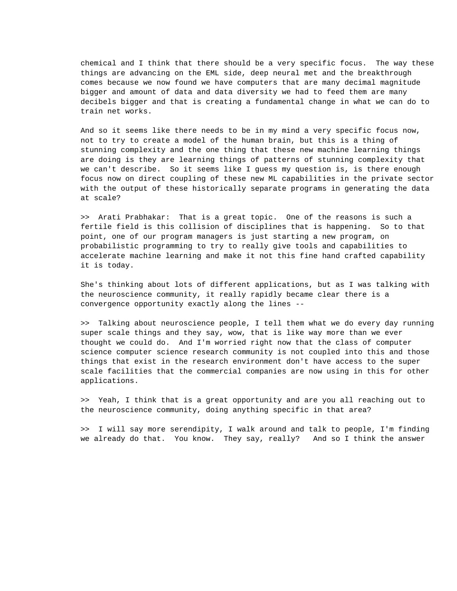chemical and I think that there should be a very specific focus. The way these things are advancing on the EML side, deep neural met and the breakthrough comes because we now found we have computers that are many decimal magnitude bigger and amount of data and data diversity we had to feed them are many decibels bigger and that is creating a fundamental change in what we can do to train net works.

And so it seems like there needs to be in my mind a very specific focus now, not to try to create a model of the human brain, but this is a thing of stunning complexity and the one thing that these new machine learning things are doing is they are learning things of patterns of stunning complexity that we can't describe. So it seems like I guess my question is, is there enough focus now on direct coupling of these new ML capabilities in the private sector with the output of these historically separate programs in generating the data at scale?

>> Arati Prabhakar: That is a great topic. One of the reasons is such a fertile field is this collision of disciplines that is happening. So to that point, one of our program managers is just starting a new program, on probabilistic programming to try to really give tools and capabilities to accelerate machine learning and make it not this fine hand crafted capability it is today.

She's thinking about lots of different applications, but as I was talking with the neuroscience community, it really rapidly became clear there is a convergence opportunity exactly along the lines --

>> Talking about neuroscience people, I tell them what we do every day running super scale things and they say, wow, that is like way more than we ever thought we could do. And I'm worried right now that the class of computer science computer science research community is not coupled into this and those things that exist in the research environment don't have access to the super scale facilities that the commercial companies are now using in this for other applications.

>> Yeah, I think that is a great opportunity and are you all reaching out to the neuroscience community, doing anything specific in that area?

>> I will say more serendipity, I walk around and talk to people, I'm finding we already do that. You know. They say, really? And so I think the answer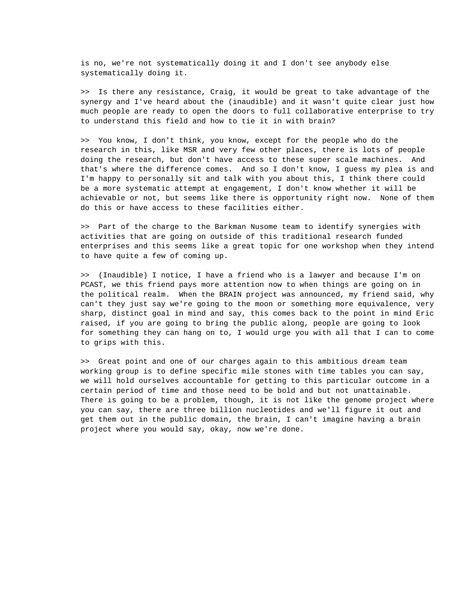is no, we're not systematically doing it and I don't see anybody else systematically doing it.

>> Is there any resistance, Craig, it would be great to take advantage of the synergy and I've heard about the (inaudible) and it wasn't quite clear just how much people are ready to open the doors to full collaborative enterprise to try to understand this field and how to tie it in with brain?

>> You know, I don't think, you know, except for the people who do the research in this, like MSR and very few other places, there is lots of people doing the research, but don't have access to these super scale machines. And that's where the difference comes. And so I don't know, I guess my plea is and I'm happy to personally sit and talk with you about this, I think there could be a more systematic attempt at engagement, I don't know whether it will be achievable or not, but seems like there is opportunity right now. None of them do this or have access to these facilities either.

>> Part of the charge to the Barkman Nusome team to identify synergies with activities that are going on outside of this traditional research funded enterprises and this seems like a great topic for one workshop when they intend to have quite a few of coming up.

>> (Inaudible) I notice, I have a friend who is a lawyer and because I'm on PCAST, we this friend pays more attention now to when things are going on in the political realm. When the BRAIN project was announced, my friend said, why can't they just say we're going to the moon or something more equivalence, very sharp, distinct goal in mind and say, this comes back to the point in mind Eric raised, if you are going to bring the public along, people are going to look for something they can hang on to, I would urge you with all that I can to come to grips with this.

>> Great point and one of our charges again to this ambitious dream team working group is to define specific mile stones with time tables you can say, we will hold ourselves accountable for getting to this particular outcome in a certain period of time and those need to be bold and but not unattainable. There is going to be a problem, though, it is not like the genome project where you can say, there are three billion nucleotides and we'll figure it out and get them out in the public domain, the brain, I can't imagine having a brain project where you would say, okay, now we're done.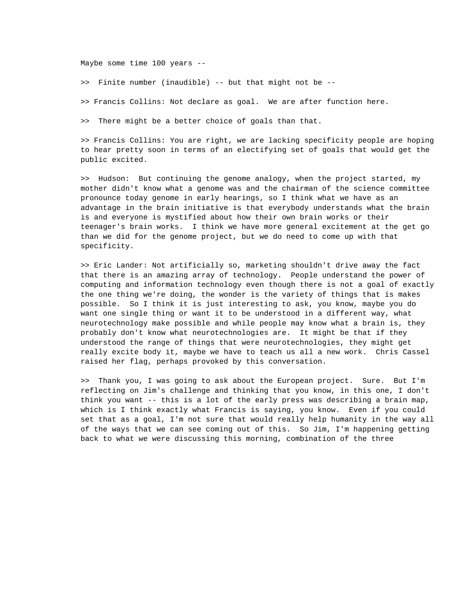Maybe some time 100 years --

>> Finite number (inaudible) -- but that might not be --

>> Francis Collins: Not declare as goal. We are after function here.

>> There might be a better choice of goals than that.

>> Francis Collins: You are right, we are lacking specificity people are hoping to hear pretty soon in terms of an electifying set of goals that would get the public excited.

>> Hudson: But continuing the genome analogy, when the project started, my mother didn't know what a genome was and the chairman of the science committee pronounce today genome in early hearings, so I think what we have as an advantage in the brain initiative is that everybody understands what the brain is and everyone is mystified about how their own brain works or their teenager's brain works. I think we have more general excitement at the get go than we did for the genome project, but we do need to come up with that specificity.

>> Eric Lander: Not artificially so, marketing shouldn't drive away the fact that there is an amazing array of technology. People understand the power of computing and information technology even though there is not a goal of exactly the one thing we're doing, the wonder is the variety of things that is makes possible. So I think it is just interesting to ask, you know, maybe you do want one single thing or want it to be understood in a different way, what neurotechnology make possible and while people may know what a brain is, they probably don't know what neurotechnologies are. It might be that if they understood the range of things that were neurotechnologies, they might get really excite body it, maybe we have to teach us all a new work. Chris Cassel raised her flag, perhaps provoked by this conversation.

>> Thank you, I was going to ask about the European project. Sure. But I'm reflecting on Jim's challenge and thinking that you know, in this one, I don't think you want -- this is a lot of the early press was describing a brain map, which is I think exactly what Francis is saying, you know. Even if you could set that as a goal, I'm not sure that would really help humanity in the way all of the ways that we can see coming out of this. So Jim, I'm happening getting back to what we were discussing this morning, combination of the three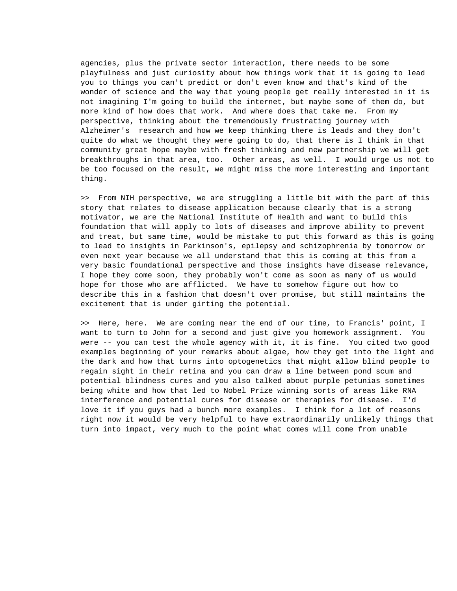agencies, plus the private sector interaction, there needs to be some playfulness and just curiosity about how things work that it is going to lead you to things you can't predict or don't even know and that's kind of the wonder of science and the way that young people get really interested in it is not imagining I'm going to build the internet, but maybe some of them do, but more kind of how does that work. And where does that take me. From my perspective, thinking about the tremendously frustrating journey with Alzheimer's research and how we keep thinking there is leads and they don't quite do what we thought they were going to do, that there is I think in that community great hope maybe with fresh thinking and new partnership we will get breakthroughs in that area, too. Other areas, as well. I would urge us not to be too focused on the result, we might miss the more interesting and important thing.

>> From NIH perspective, we are struggling a little bit with the part of this story that relates to disease application because clearly that is a strong motivator, we are the National Institute of Health and want to build this foundation that will apply to lots of diseases and improve ability to prevent and treat, but same time, would be mistake to put this forward as this is going to lead to insights in Parkinson's, epilepsy and schizophrenia by tomorrow or even next year because we all understand that this is coming at this from a very basic foundational perspective and those insights have disease relevance, I hope they come soon, they probably won't come as soon as many of us would hope for those who are afflicted. We have to somehow figure out how to describe this in a fashion that doesn't over promise, but still maintains the excitement that is under girting the potential.

>> Here, here. We are coming near the end of our time, to Francis' point, I want to turn to John for a second and just give you homework assignment. You were -- you can test the whole agency with it, it is fine. You cited two good examples beginning of your remarks about algae, how they get into the light and the dark and how that turns into optogenetics that might allow blind people to regain sight in their retina and you can draw a line between pond scum and potential blindness cures and you also talked about purple petunias sometimes being white and how that led to Nobel Prize winning sorts of areas like RNA interference and potential cures for disease or therapies for disease. I'd love it if you guys had a bunch more examples. I think for a lot of reasons right now it would be very helpful to have extraordinarily unlikely things that turn into impact, very much to the point what comes will come from unable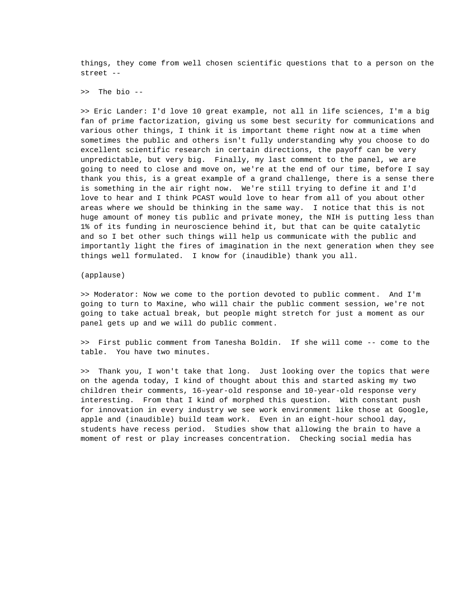things, they come from well chosen scientific questions that to a person on the street --

>> The bio --

>> Eric Lander: I'd love 10 great example, not all in life sciences, I'm a big fan of prime factorization, giving us some best security for communications and various other things, I think it is important theme right now at a time when sometimes the public and others isn't fully understanding why you choose to do excellent scientific research in certain directions, the payoff can be very unpredictable, but very big. Finally, my last comment to the panel, we are going to need to close and move on, we're at the end of our time, before I say thank you this, is a great example of a grand challenge, there is a sense there is something in the air right now. We're still trying to define it and I'd love to hear and I think PCAST would love to hear from all of you about other areas where we should be thinking in the same way. I notice that this is not huge amount of money tis public and private money, the NIH is putting less than 1% of its funding in neuroscience behind it, but that can be quite catalytic and so I bet other such things will help us communicate with the public and importantly light the fires of imagination in the next generation when they see things well formulated. I know for (inaudible) thank you all.

(applause)

>> Moderator: Now we come to the portion devoted to public comment. And I'm going to turn to Maxine, who will chair the public comment session, we're not going to take actual break, but people might stretch for just a moment as our panel gets up and we will do public comment.

>> First public comment from Tanesha Boldin. If she will come -- come to the table. You have two minutes.

>> Thank you, I won't take that long. Just looking over the topics that were on the agenda today, I kind of thought about this and started asking my two children their comments, 16-year-old response and 10-year-old response very interesting. From that I kind of morphed this question. With constant push for innovation in every industry we see work environment like those at Google, apple and (inaudible) build team work. Even in an eight-hour school day, students have recess period. Studies show that allowing the brain to have a moment of rest or play increases concentration. Checking social media has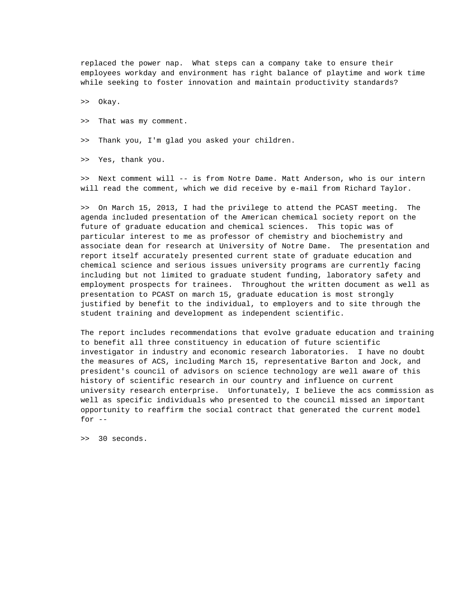replaced the power nap. What steps can a company take to ensure their employees workday and environment has right balance of playtime and work time while seeking to foster innovation and maintain productivity standards?

>> Okay.

- >> That was my comment.
- >> Thank you, I'm glad you asked your children.

>> Yes, thank you.

>> Next comment will -- is from Notre Dame. Matt Anderson, who is our intern will read the comment, which we did receive by e-mail from Richard Taylor.

>> On March 15, 2013, I had the privilege to attend the PCAST meeting. The agenda included presentation of the American chemical society report on the future of graduate education and chemical sciences. This topic was of particular interest to me as professor of chemistry and biochemistry and associate dean for research at University of Notre Dame. The presentation and report itself accurately presented current state of graduate education and chemical science and serious issues university programs are currently facing including but not limited to graduate student funding, laboratory safety and employment prospects for trainees. Throughout the written document as well as presentation to PCAST on march 15, graduate education is most strongly justified by benefit to the individual, to employers and to site through the student training and development as independent scientific.

The report includes recommendations that evolve graduate education and training to benefit all three constituency in education of future scientific investigator in industry and economic research laboratories. I have no doubt the measures of ACS, including March 15, representative Barton and Jock, and president's council of advisors on science technology are well aware of this history of scientific research in our country and influence on current university research enterprise. Unfortunately, I believe the acs commission as well as specific individuals who presented to the council missed an important opportunity to reaffirm the social contract that generated the current model for --

>> 30 seconds.